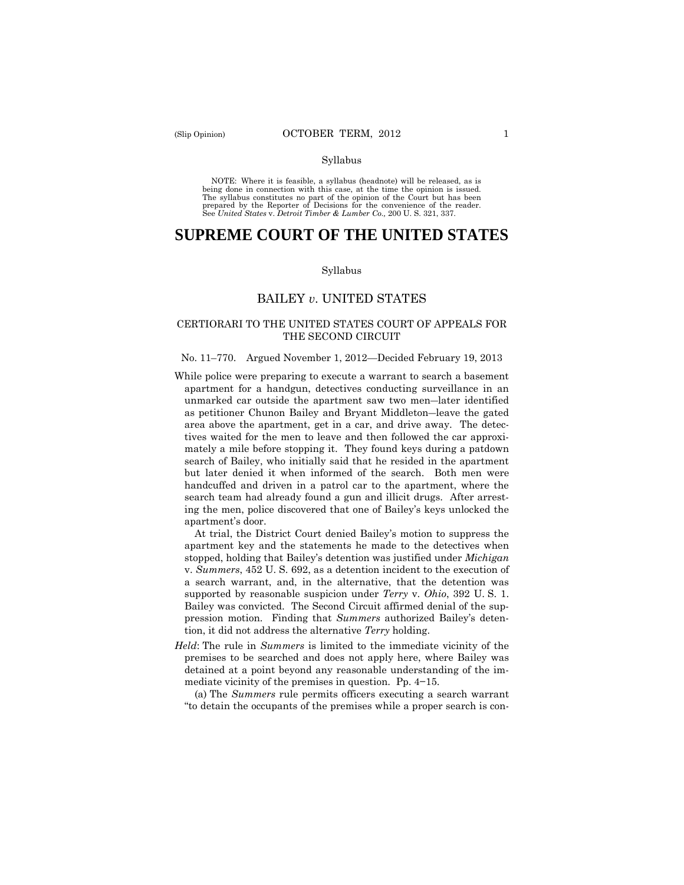#### Syllabus

 NOTE: Where it is feasible, a syllabus (headnote) will be released, as is being done in connection with this case, at the time the opinion is issued. The syllabus constitutes no part of the opinion of the Court but has been<br>prepared by the Reporter of Decisions for the convenience of the reader.<br>See United States v. Detroit Timber & Lumber Co., 200 U.S. 321, 337.

# **SUPREME COURT OF THE UNITED STATES**

#### Syllabus

#### BAILEY *v*. UNITED STATES

#### CERTIORARI TO THE UNITED STATES COURT OF APPEALS FOR THE SECOND CIRCUIT

#### No. 11–770. Argued November 1, 2012—Decided February 19, 2013

While police were preparing to execute a warrant to search a basement apartment for a handgun, detectives conducting surveillance in an unmarked car outside the apartment saw two men―later identified as petitioner Chunon Bailey and Bryant Middleton―leave the gated area above the apartment, get in a car, and drive away. The detectives waited for the men to leave and then followed the car approximately a mile before stopping it. They found keys during a patdown search of Bailey, who initially said that he resided in the apartment but later denied it when informed of the search. Both men were handcuffed and driven in a patrol car to the apartment, where the search team had already found a gun and illicit drugs. After arresting the men, police discovered that one of Bailey's keys unlocked the apartment's door.

At trial, the District Court denied Bailey's motion to suppress the apartment key and the statements he made to the detectives when stopped, holding that Bailey's detention was justified under *Michigan*  v. *Summers*, 452 U. S. 692, as a detention incident to the execution of a search warrant, and, in the alternative, that the detention was supported by reasonable suspicion under *Terry* v. *Ohio*, 392 U. S. 1. Bailey was convicted. The Second Circuit affirmed denial of the suppression motion. Finding that *Summers* authorized Bailey's detention, it did not address the alternative *Terry* holding.

*Held*: The rule in *Summers* is limited to the immediate vicinity of the premises to be searched and does not apply here, where Bailey was detained at a point beyond any reasonable understanding of the immediate vicinity of the premises in question. Pp. 4−15.

(a) The *Summers* rule permits officers executing a search warrant "to detain the occupants of the premises while a proper search is con-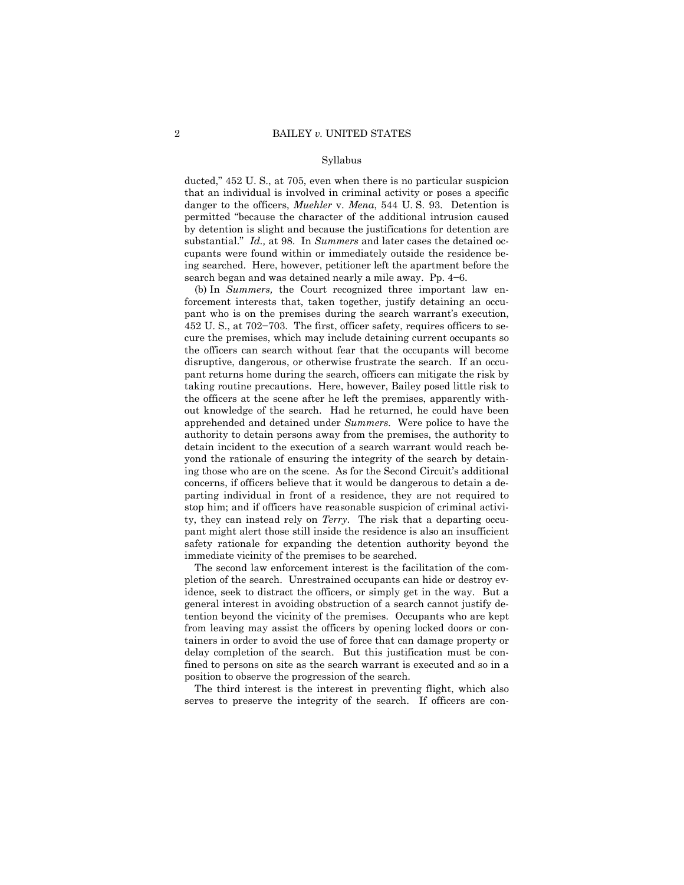#### Syllabus

ducted," 452 U. S., at 705, even when there is no particular suspicion that an individual is involved in criminal activity or poses a specific danger to the officers, *Muehler* v. *Mena*, 544 U. S. 93. Detention is permitted "because the character of the additional intrusion caused by detention is slight and because the justifications for detention are substantial." *Id.,* at 98. In *Summers* and later cases the detained occupants were found within or immediately outside the residence being searched. Here, however, petitioner left the apartment before the search began and was detained nearly a mile away. Pp. 4−6.

 taking routine precautions. Here, however, Bailey posed little risk to apprehended and detained under *Summers.* Were police to have the (b) In *Summers,* the Court recognized three important law enforcement interests that, taken together, justify detaining an occupant who is on the premises during the search warrant's execution, 452 U. S., at 702−703. The first, officer safety, requires officers to secure the premises, which may include detaining current occupants so the officers can search without fear that the occupants will become disruptive, dangerous, or otherwise frustrate the search. If an occupant returns home during the search, officers can mitigate the risk by the officers at the scene after he left the premises, apparently without knowledge of the search. Had he returned, he could have been authority to detain persons away from the premises, the authority to detain incident to the execution of a search warrant would reach beyond the rationale of ensuring the integrity of the search by detaining those who are on the scene. As for the Second Circuit's additional concerns, if officers believe that it would be dangerous to detain a departing individual in front of a residence, they are not required to stop him; and if officers have reasonable suspicion of criminal activity, they can instead rely on *Terry*. The risk that a departing occupant might alert those still inside the residence is also an insufficient safety rationale for expanding the detention authority beyond the immediate vicinity of the premises to be searched.

The second law enforcement interest is the facilitation of the completion of the search. Unrestrained occupants can hide or destroy evidence, seek to distract the officers, or simply get in the way. But a general interest in avoiding obstruction of a search cannot justify detention beyond the vicinity of the premises. Occupants who are kept from leaving may assist the officers by opening locked doors or containers in order to avoid the use of force that can damage property or delay completion of the search. But this justification must be confined to persons on site as the search warrant is executed and so in a position to observe the progression of the search.

The third interest is the interest in preventing flight, which also serves to preserve the integrity of the search. If officers are con-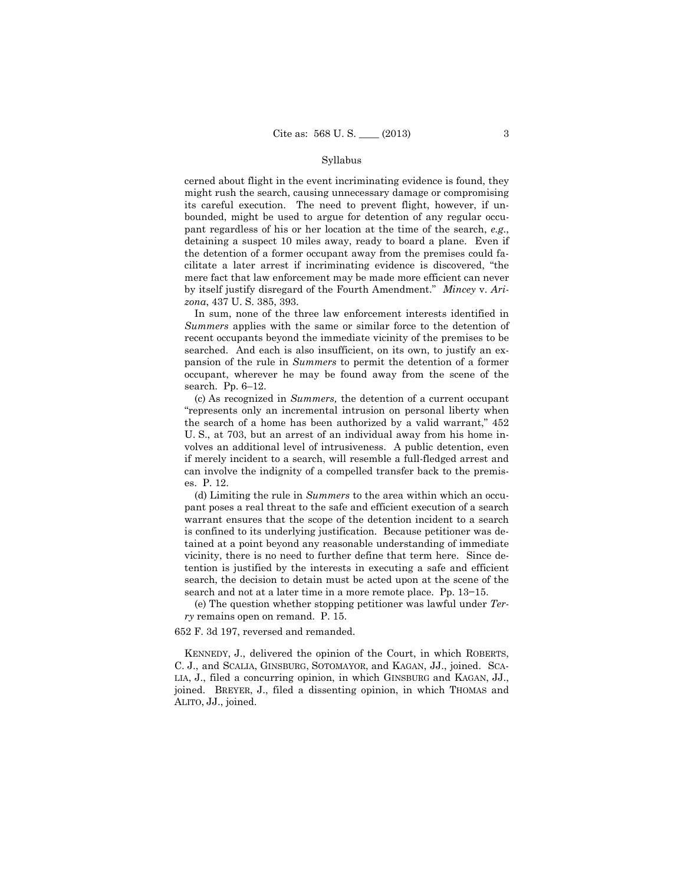#### Syllabus

cerned about flight in the event incriminating evidence is found, they might rush the search, causing unnecessary damage or compromising its careful execution. The need to prevent flight, however, if unbounded, might be used to argue for detention of any regular occupant regardless of his or her location at the time of the search, *e.g.*, detaining a suspect 10 miles away, ready to board a plane. Even if the detention of a former occupant away from the premises could facilitate a later arrest if incriminating evidence is discovered, "the mere fact that law enforcement may be made more efficient can never by itself justify disregard of the Fourth Amendment." *Mincey* v. *Arizona*, 437 U. S. 385, 393.

In sum, none of the three law enforcement interests identified in *Summers* applies with the same or similar force to the detention of recent occupants beyond the immediate vicinity of the premises to be searched. And each is also insufficient, on its own, to justify an expansion of the rule in *Summers* to permit the detention of a former occupant, wherever he may be found away from the scene of the search. Pp. 6–12.

(c) As recognized in *Summers,* the detention of a current occupant "represents only an incremental intrusion on personal liberty when the search of a home has been authorized by a valid warrant," 452 U. S., at 703, but an arrest of an individual away from his home involves an additional level of intrusiveness. A public detention, even if merely incident to a search, will resemble a full-fledged arrest and can involve the indignity of a compelled transfer back to the premises. P. 12.

 warrant ensures that the scope of the detention incident to a search (d) Limiting the rule in *Summers* to the area within which an occupant poses a real threat to the safe and efficient execution of a search is confined to its underlying justification. Because petitioner was detained at a point beyond any reasonable understanding of immediate vicinity, there is no need to further define that term here. Since detention is justified by the interests in executing a safe and efficient search, the decision to detain must be acted upon at the scene of the search and not at a later time in a more remote place. Pp. 13−15.

(e) The question whether stopping petitioner was lawful under *Terry* remains open on remand. P. 15.

652 F. 3d 197, reversed and remanded.

 LIA, J., filed a concurring opinion, in which GINSBURG and KAGAN, JJ., KENNEDY, J., delivered the opinion of the Court, in which ROBERTS, C. J., and SCALIA, GINSBURG, SOTOMAYOR, and KAGAN, JJ., joined. SCAjoined. BREYER, J., filed a dissenting opinion, in which THOMAS and ALITO, JJ., joined.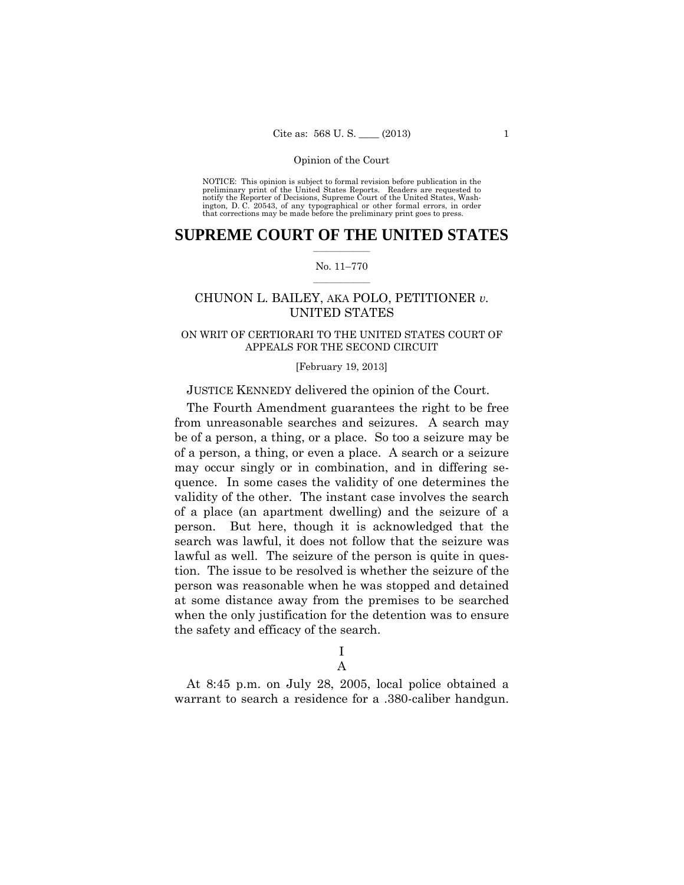preliminary print of the United States Reports. Readers are requested to notify the Reporter of Decisions, Supreme Court of the United States, Wash- ington, D. C. 20543, of any typographical or other formal errors, in order that corrections may be made before the preliminary print goes to press. NOTICE: This opinion is subject to formal revision before publication in the

#### $\frac{1}{2}$  , where  $\frac{1}{2}$ **SUPREME COURT OF THE UNITED STATES**

#### $\frac{1}{2}$  ,  $\frac{1}{2}$  ,  $\frac{1}{2}$  ,  $\frac{1}{2}$  ,  $\frac{1}{2}$  ,  $\frac{1}{2}$ No. 11–770

# **UNITED STATES** CHUNON L. BAILEY, AKA POLO, PETITIONER *v.*

# APPEALS FOR THE SECOND CIRCUIT UNITED STATES<br>ON WRIT OF CERTIORARI TO THE UNITED STATES COURT OF<br>APPEALS FOR THE SECOND CIRCUIT<br>[February 19, 2013]

#### JUSTICE KENNEDY delivered the opinion of the Court.

The Fourth Amendment guarantees the right to be free from unreasonable searches and seizures. A search may be of a person, a thing, or a place. So too a seizure may be of a person, a thing, or even a place. A search or a seizure may occur singly or in combination, and in differing sequence. In some cases the validity of one determines the validity of the other. The instant case involves the search of a place (an apartment dwelling) and the seizure of a person. But here, though it is acknowledged that the search was lawful, it does not follow that the seizure was lawful as well. The seizure of the person is quite in question. The issue to be resolved is whether the seizure of the person was reasonable when he was stopped and detained at some distance away from the premises to be searched when the only justification for the detention was to ensure the safety and efficacy of the search.

# I

# A

At 8:45 p.m. on July 28, 2005, local police obtained a warrant to search a residence for a .380-caliber handgun.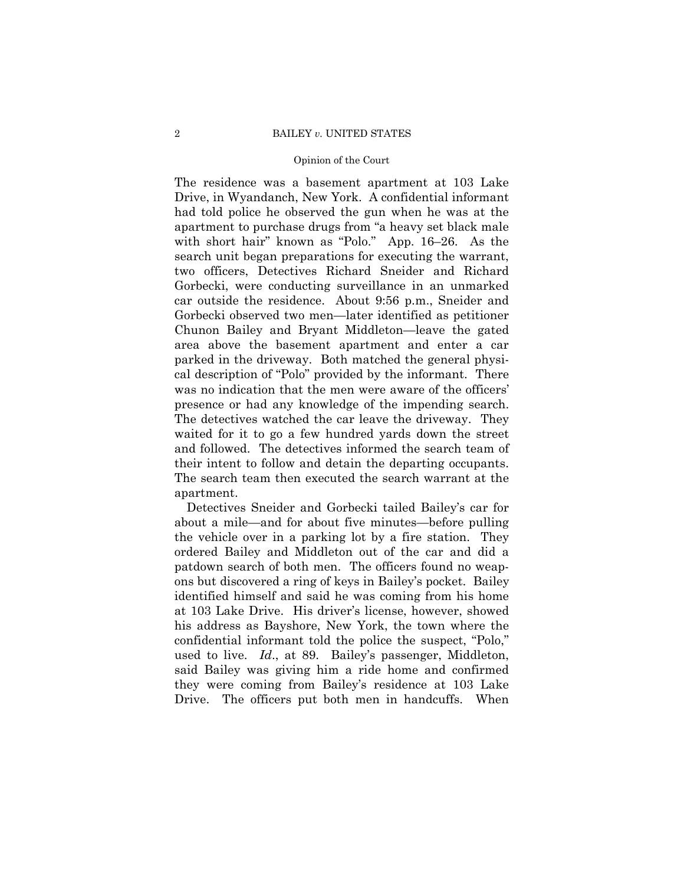#### 2 BAILEY *v.* UNITED STATES

#### Opinion of the Court

The residence was a basement apartment at 103 Lake Drive, in Wyandanch, New York. A confidential informant had told police he observed the gun when he was at the apartment to purchase drugs from "a heavy set black male with short hair" known as "Polo." App. 16–26. As the search unit began preparations for executing the warrant, two officers, Detectives Richard Sneider and Richard Gorbecki, were conducting surveillance in an unmarked car outside the residence. About 9:56 p.m., Sneider and Gorbecki observed two men—later identified as petitioner Chunon Bailey and Bryant Middleton—leave the gated area above the basement apartment and enter a car parked in the driveway. Both matched the general physical description of "Polo" provided by the informant. There was no indication that the men were aware of the officers' presence or had any knowledge of the impending search. The detectives watched the car leave the driveway. They waited for it to go a few hundred yards down the street and followed. The detectives informed the search team of their intent to follow and detain the departing occupants. The search team then executed the search warrant at the apartment.

Detectives Sneider and Gorbecki tailed Bailey's car for about a mile—and for about five minutes—before pulling the vehicle over in a parking lot by a fire station. They ordered Bailey and Middleton out of the car and did a patdown search of both men. The officers found no weapons but discovered a ring of keys in Bailey's pocket. Bailey identified himself and said he was coming from his home at 103 Lake Drive. His driver's license, however, showed his address as Bayshore, New York, the town where the confidential informant told the police the suspect, "Polo," used to live. *Id*., at 89. Bailey's passenger, Middleton, said Bailey was giving him a ride home and confirmed they were coming from Bailey's residence at 103 Lake Drive. The officers put both men in handcuffs. When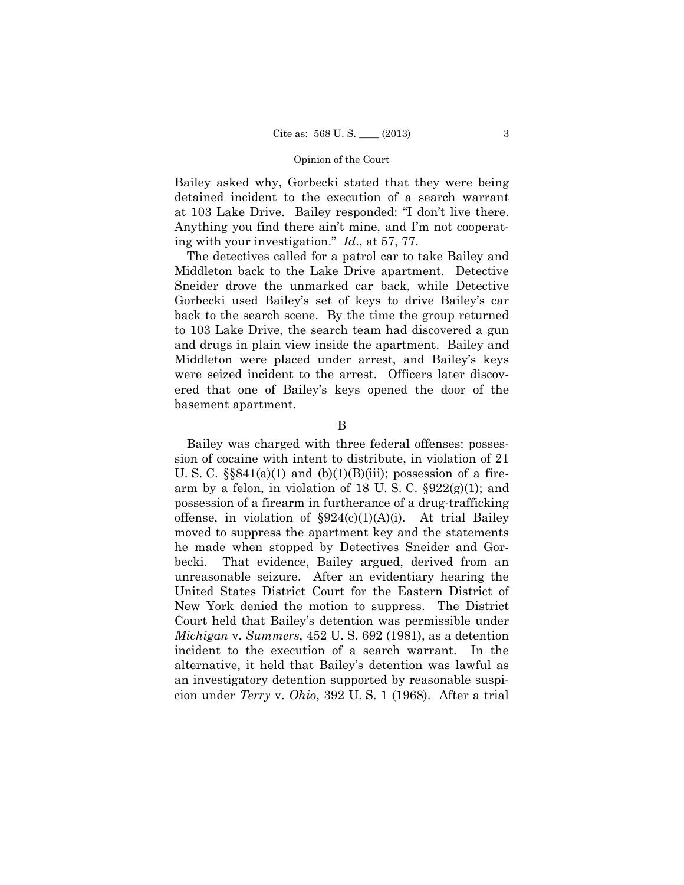Bailey asked why, Gorbecki stated that they were being detained incident to the execution of a search warrant at 103 Lake Drive. Bailey responded: "I don't live there. Anything you find there ain't mine, and I'm not cooperating with your investigation." *Id*., at 57, 77.

The detectives called for a patrol car to take Bailey and Middleton back to the Lake Drive apartment. Detective Sneider drove the unmarked car back, while Detective Gorbecki used Bailey's set of keys to drive Bailey's car back to the search scene. By the time the group returned to 103 Lake Drive, the search team had discovered a gun and drugs in plain view inside the apartment. Bailey and Middleton were placed under arrest, and Bailey's keys were seized incident to the arrest. Officers later discovered that one of Bailey's keys opened the door of the basement apartment.

#### B

Bailey was charged with three federal offenses: possession of cocaine with intent to distribute, in violation of 21 U. S. C.  $\S$ §841(a)(1) and (b)(1)(B)(iii); possession of a firearm by a felon, in violation of 18 U.S.C.  $\S 922(g)(1)$ ; and possession of a firearm in furtherance of a drug-trafficking offense, in violation of  $\S 924(c)(1)(A)(i)$ . At trial Bailey moved to suppress the apartment key and the statements he made when stopped by Detectives Sneider and Gorbecki. That evidence, Bailey argued, derived from an unreasonable seizure. After an evidentiary hearing the United States District Court for the Eastern District of New York denied the motion to suppress. The District Court held that Bailey's detention was permissible under *Michigan* v. *Summers*, 452 U. S. 692 (1981), as a detention incident to the execution of a search warrant. In the alternative, it held that Bailey's detention was lawful as an investigatory detention supported by reasonable suspicion under *Terry* v. *Ohio*, 392 U. S. 1 (1968). After a trial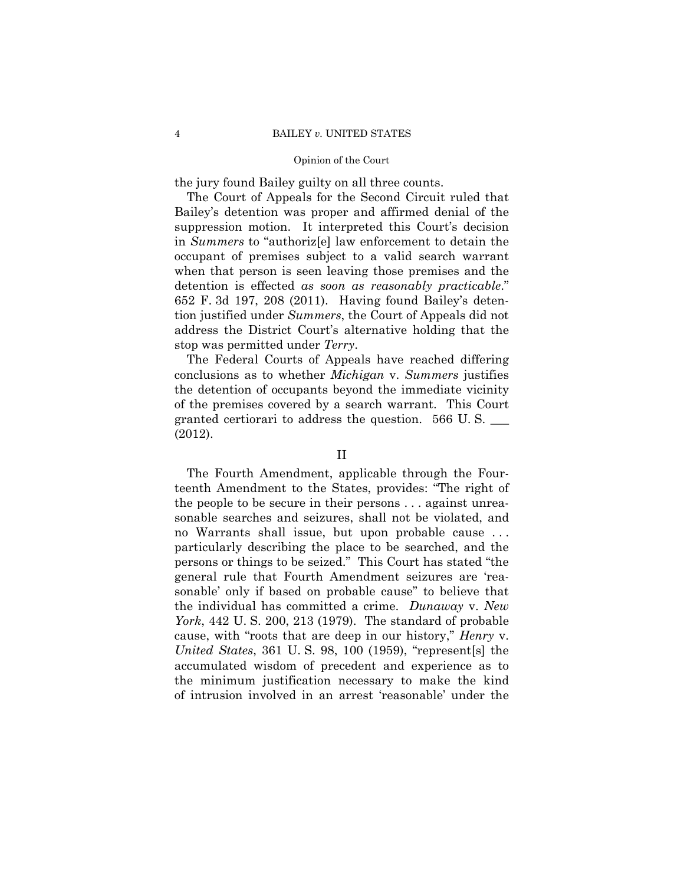the jury found Bailey guilty on all three counts.

The Court of Appeals for the Second Circuit ruled that Bailey's detention was proper and affirmed denial of the suppression motion. It interpreted this Court's decision in *Summers* to "authoriz[e] law enforcement to detain the occupant of premises subject to a valid search warrant when that person is seen leaving those premises and the detention is effected *as soon as reasonably practicable*." 652 F. 3d 197, 208 (2011). Having found Bailey's detention justified under *Summers*, the Court of Appeals did not address the District Court's alternative holding that the stop was permitted under *Terry*.

The Federal Courts of Appeals have reached differing conclusions as to whether *Michigan* v. *Summers* justifies the detention of occupants beyond the immediate vicinity of the premises covered by a search warrant. This Court granted certiorari to address the question. 566 U. S. \_\_\_ (2012).

# II

The Fourth Amendment, applicable through the Fourteenth Amendment to the States, provides: "The right of the people to be secure in their persons . . . against unreasonable searches and seizures, shall not be violated, and no Warrants shall issue, but upon probable cause . . . particularly describing the place to be searched, and the persons or things to be seized." This Court has stated "the general rule that Fourth Amendment seizures are 'reasonable' only if based on probable cause" to believe that the individual has committed a crime. *Dunaway* v. *New York*, 442 U. S. 200, 213 (1979). The standard of probable cause, with "roots that are deep in our history," *Henry* v. *United States*, 361 U. S. 98, 100 (1959), "represent[s] the accumulated wisdom of precedent and experience as to the minimum justification necessary to make the kind of intrusion involved in an arrest 'reasonable' under the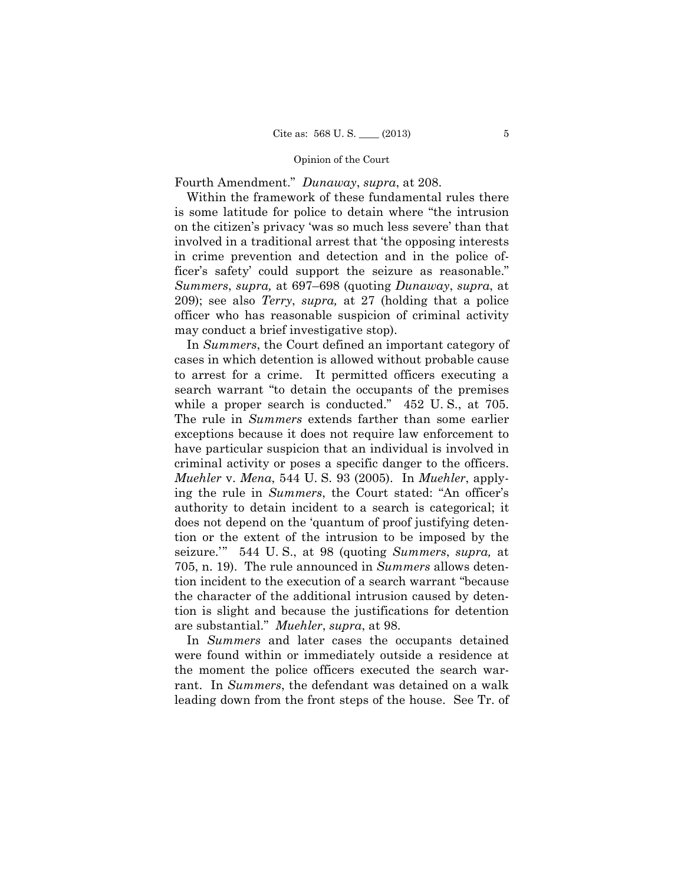Fourth Amendment." *Dunaway*, *supra*, at 208.

Within the framework of these fundamental rules there is some latitude for police to detain where "the intrusion on the citizen's privacy 'was so much less severe' than that involved in a traditional arrest that 'the opposing interests in crime prevention and detection and in the police officer's safety' could support the seizure as reasonable." *Summers*, *supra,* at 697–698 (quoting *Dunaway*, *supra*, at 209); see also *Terry*, *supra,* at 27 (holding that a police officer who has reasonable suspicion of criminal activity may conduct a brief investigative stop).

In *Summers*, the Court defined an important category of cases in which detention is allowed without probable cause to arrest for a crime. It permitted officers executing a search warrant "to detain the occupants of the premises while a proper search is conducted." 452 U.S., at 705. The rule in *Summers* extends farther than some earlier exceptions because it does not require law enforcement to have particular suspicion that an individual is involved in criminal activity or poses a specific danger to the officers. *Muehler* v. *Mena*, 544 U. S. 93 (2005). In *Muehler*, applying the rule in *Summers*, the Court stated: "An officer's authority to detain incident to a search is categorical; it does not depend on the 'quantum of proof justifying detention or the extent of the intrusion to be imposed by the seizure.'" 544 U. S., at 98 (quoting *Summers*, *supra,* at 705, n. 19). The rule announced in *Summers* allows detention incident to the execution of a search warrant "because the character of the additional intrusion caused by detention is slight and because the justifications for detention are substantial." *Muehler*, *supra*, at 98.

In *Summers* and later cases the occupants detained were found within or immediately outside a residence at the moment the police officers executed the search warrant. In *Summers*, the defendant was detained on a walk leading down from the front steps of the house. See Tr. of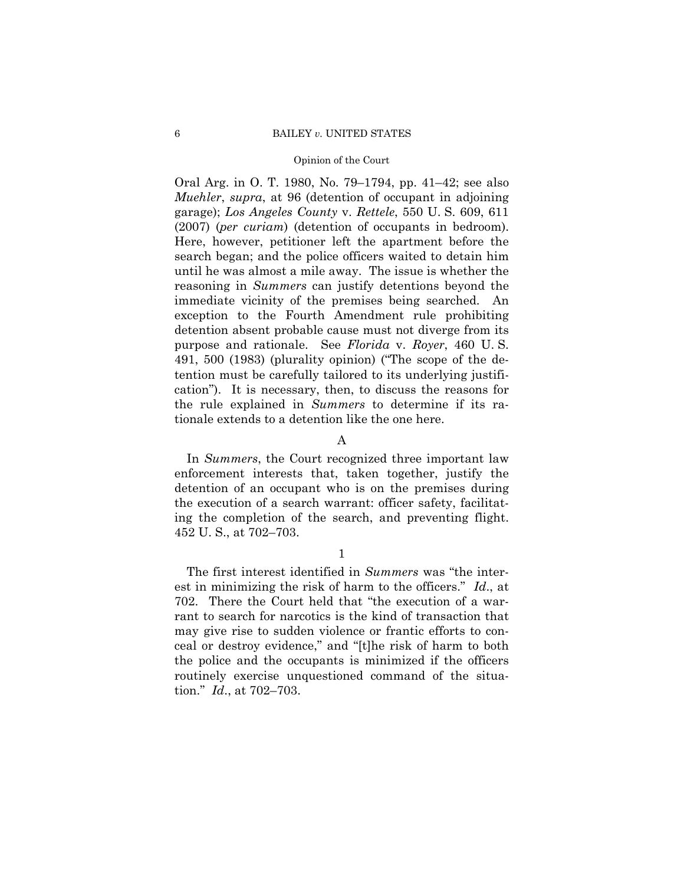#### 6 BAILEY *v.* UNITED STATES

#### Opinion of the Court

Oral Arg. in O. T. 1980, No. 79–1794, pp. 41–42; see also *Muehler*, *supra*, at 96 (detention of occupant in adjoining garage); *Los Angeles County* v. *Rettele*, 550 U. S. 609, 611 (2007) (*per curiam*) (detention of occupants in bedroom). Here, however, petitioner left the apartment before the search began; and the police officers waited to detain him until he was almost a mile away. The issue is whether the reasoning in *Summers* can justify detentions beyond the immediate vicinity of the premises being searched. An exception to the Fourth Amendment rule prohibiting detention absent probable cause must not diverge from its purpose and rationale. See *Florida* v. *Royer*, 460 U. S. 491, 500 (1983) (plurality opinion) ("The scope of the detention must be carefully tailored to its underlying justification"). It is necessary, then, to discuss the reasons for the rule explained in *Summers* to determine if its rationale extends to a detention like the one here.

#### A

In *Summers*, the Court recognized three important law enforcement interests that, taken together, justify the detention of an occupant who is on the premises during the execution of a search warrant: officer safety, facilitating the completion of the search, and preventing flight. 452 U. S., at 702–703.

1

The first interest identified in *Summers* was "the interest in minimizing the risk of harm to the officers." *Id*., at 702. There the Court held that "the execution of a warrant to search for narcotics is the kind of transaction that may give rise to sudden violence or frantic efforts to conceal or destroy evidence," and "[t]he risk of harm to both the police and the occupants is minimized if the officers routinely exercise unquestioned command of the situation." *Id*., at 702–703.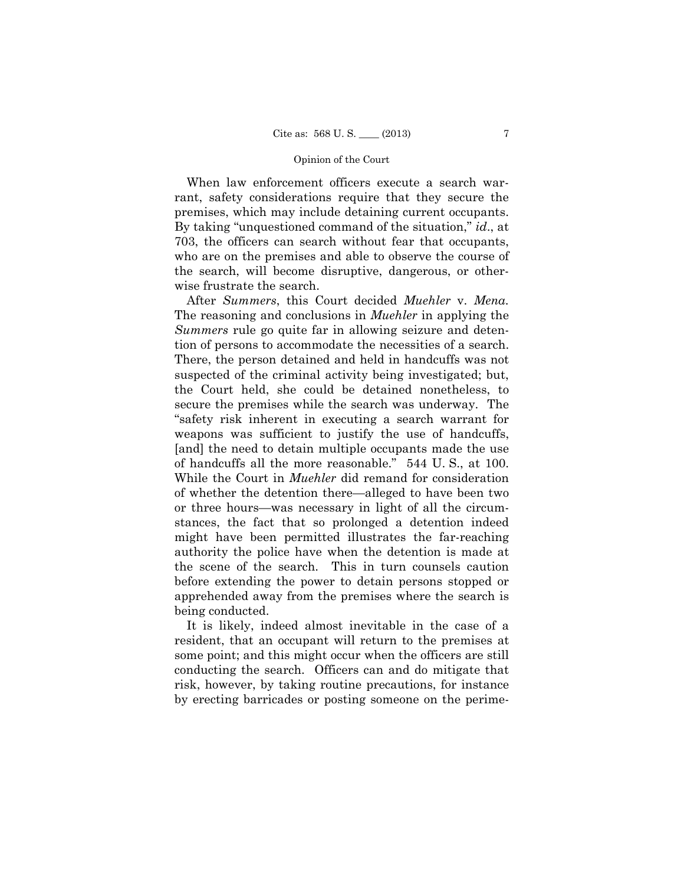When law enforcement officers execute a search warrant, safety considerations require that they secure the premises, which may include detaining current occupants. By taking "unquestioned command of the situation," *id*., at 703, the officers can search without fear that occupants, who are on the premises and able to observe the course of the search, will become disruptive, dangerous, or otherwise frustrate the search.

After *Summers*, this Court decided *Muehler* v. *Mena.* The reasoning and conclusions in *Muehler* in applying the *Summers* rule go quite far in allowing seizure and detention of persons to accommodate the necessities of a search. There, the person detained and held in handcuffs was not suspected of the criminal activity being investigated; but, the Court held, she could be detained nonetheless, to secure the premises while the search was underway. The "safety risk inherent in executing a search warrant for weapons was sufficient to justify the use of handcuffs, [and] the need to detain multiple occupants made the use of handcuffs all the more reasonable." 544 U. S., at 100. While the Court in *Muehler* did remand for consideration of whether the detention there—alleged to have been two or three hours—was necessary in light of all the circumstances, the fact that so prolonged a detention indeed might have been permitted illustrates the far-reaching authority the police have when the detention is made at the scene of the search. This in turn counsels caution before extending the power to detain persons stopped or apprehended away from the premises where the search is being conducted.

It is likely, indeed almost inevitable in the case of a resident, that an occupant will return to the premises at some point; and this might occur when the officers are still conducting the search. Officers can and do mitigate that risk, however, by taking routine precautions, for instance by erecting barricades or posting someone on the perime-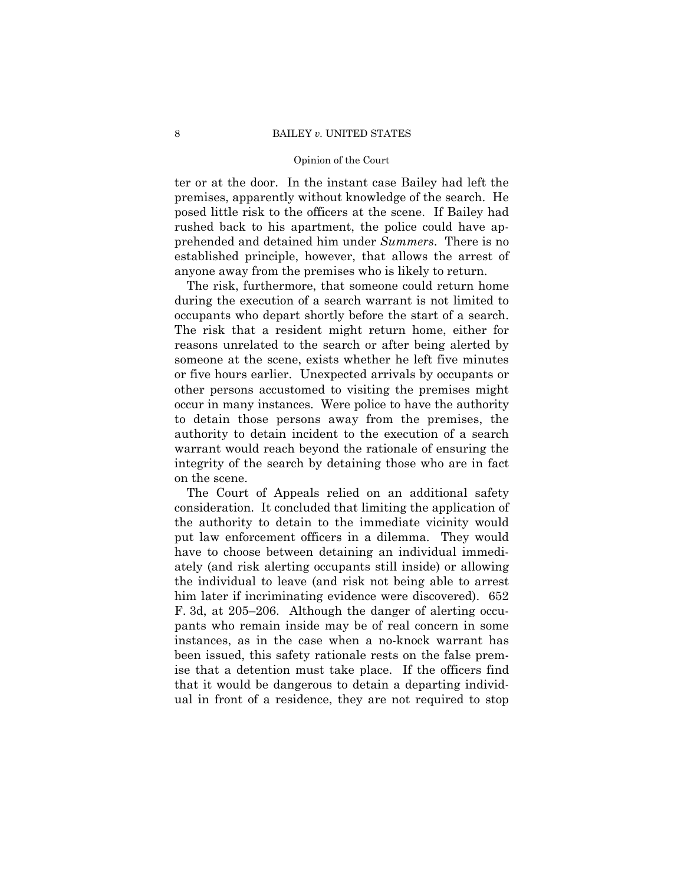#### 8 BAILEY *v*. UNITED STATES

#### Opinion of the Court

ter or at the door. In the instant case Bailey had left the premises, apparently without knowledge of the search. He posed little risk to the officers at the scene. If Bailey had rushed back to his apartment, the police could have apprehended and detained him under *Summers*. There is no established principle, however, that allows the arrest of anyone away from the premises who is likely to return.

The risk, furthermore, that someone could return home during the execution of a search warrant is not limited to occupants who depart shortly before the start of a search. The risk that a resident might return home, either for reasons unrelated to the search or after being alerted by someone at the scene, exists whether he left five minutes or five hours earlier. Unexpected arrivals by occupants or other persons accustomed to visiting the premises might occur in many instances. Were police to have the authority to detain those persons away from the premises, the authority to detain incident to the execution of a search warrant would reach beyond the rationale of ensuring the integrity of the search by detaining those who are in fact on the scene.

The Court of Appeals relied on an additional safety consideration. It concluded that limiting the application of the authority to detain to the immediate vicinity would put law enforcement officers in a dilemma. They would have to choose between detaining an individual immediately (and risk alerting occupants still inside) or allowing the individual to leave (and risk not being able to arrest him later if incriminating evidence were discovered). 652 F. 3d, at 205–206. Although the danger of alerting occupants who remain inside may be of real concern in some instances, as in the case when a no-knock warrant has been issued, this safety rationale rests on the false premise that a detention must take place. If the officers find that it would be dangerous to detain a departing individual in front of a residence, they are not required to stop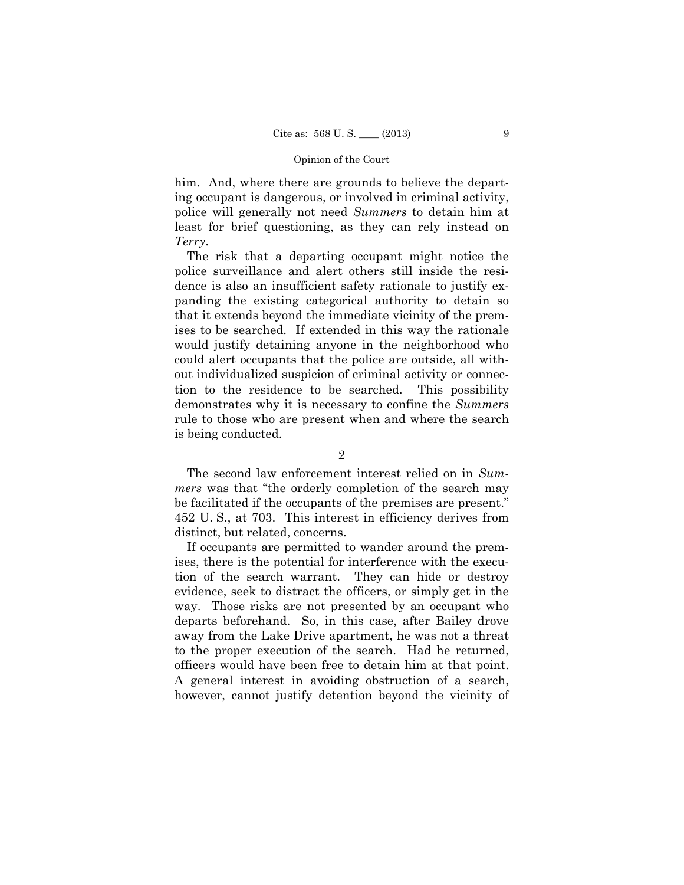him. And, where there are grounds to believe the departing occupant is dangerous, or involved in criminal activity, police will generally not need *Summers* to detain him at least for brief questioning, as they can rely instead on *Terry*.

The risk that a departing occupant might notice the police surveillance and alert others still inside the residence is also an insufficient safety rationale to justify expanding the existing categorical authority to detain so that it extends beyond the immediate vicinity of the premises to be searched. If extended in this way the rationale would justify detaining anyone in the neighborhood who could alert occupants that the police are outside, all without individualized suspicion of criminal activity or connection to the residence to be searched. This possibility demonstrates why it is necessary to confine the *Summers*  rule to those who are present when and where the search is being conducted.

2

The second law enforcement interest relied on in *Summers* was that "the orderly completion of the search may be facilitated if the occupants of the premises are present." 452 U. S., at 703. This interest in efficiency derives from distinct, but related, concerns.

If occupants are permitted to wander around the premises, there is the potential for interference with the execution of the search warrant. They can hide or destroy evidence, seek to distract the officers, or simply get in the way. Those risks are not presented by an occupant who departs beforehand. So, in this case, after Bailey drove away from the Lake Drive apartment, he was not a threat to the proper execution of the search. Had he returned, officers would have been free to detain him at that point. A general interest in avoiding obstruction of a search, however, cannot justify detention beyond the vicinity of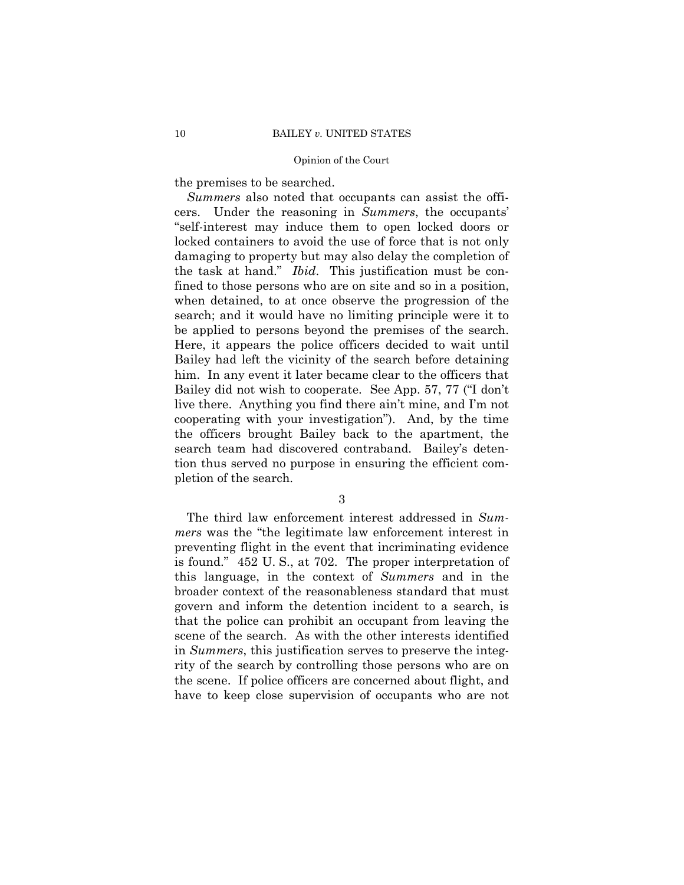the premises to be searched.

*Summers* also noted that occupants can assist the officers. Under the reasoning in *Summers*, the occupants' "self-interest may induce them to open locked doors or locked containers to avoid the use of force that is not only damaging to property but may also delay the completion of the task at hand." *Ibid*. This justification must be confined to those persons who are on site and so in a position, when detained, to at once observe the progression of the search; and it would have no limiting principle were it to be applied to persons beyond the premises of the search. Here, it appears the police officers decided to wait until Bailey had left the vicinity of the search before detaining him. In any event it later became clear to the officers that Bailey did not wish to cooperate. See App. 57, 77 ("I don't live there. Anything you find there ain't mine, and I'm not cooperating with your investigation"). And, by the time the officers brought Bailey back to the apartment, the search team had discovered contraband. Bailey's detention thus served no purpose in ensuring the efficient completion of the search.

3

The third law enforcement interest addressed in *Summers* was the "the legitimate law enforcement interest in preventing flight in the event that incriminating evidence is found." 452 U. S., at 702. The proper interpretation of this language, in the context of *Summers* and in the broader context of the reasonableness standard that must govern and inform the detention incident to a search, is that the police can prohibit an occupant from leaving the scene of the search. As with the other interests identified in *Summers*, this justification serves to preserve the integrity of the search by controlling those persons who are on the scene. If police officers are concerned about flight, and have to keep close supervision of occupants who are not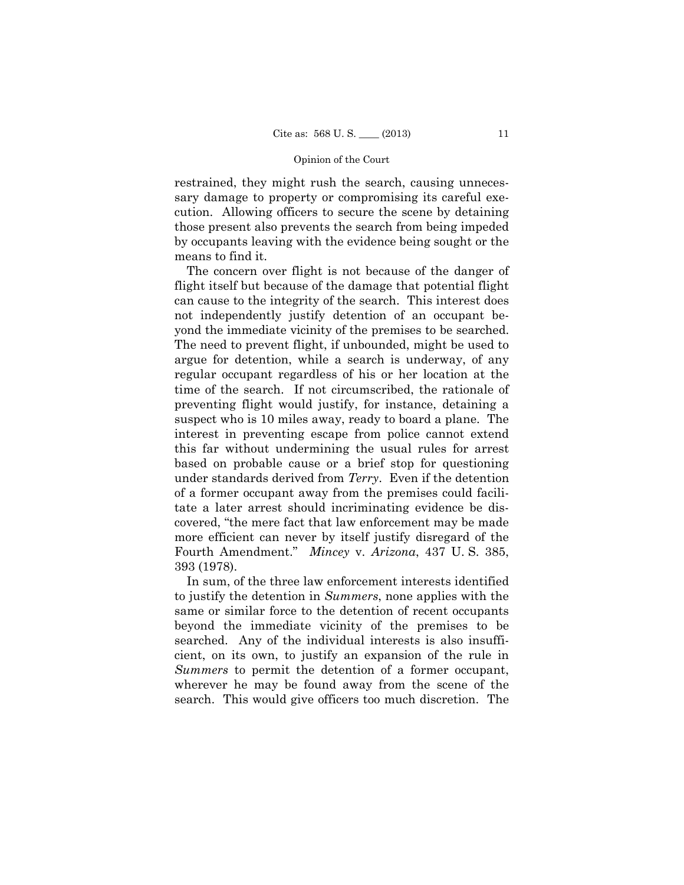restrained, they might rush the search, causing unnecessary damage to property or compromising its careful execution. Allowing officers to secure the scene by detaining those present also prevents the search from being impeded by occupants leaving with the evidence being sought or the means to find it.

 yond the immediate vicinity of the premises to be searched. The concern over flight is not because of the danger of flight itself but because of the damage that potential flight can cause to the integrity of the search. This interest does not independently justify detention of an occupant be-The need to prevent flight, if unbounded, might be used to argue for detention, while a search is underway, of any regular occupant regardless of his or her location at the time of the search. If not circumscribed, the rationale of preventing flight would justify, for instance, detaining a suspect who is 10 miles away, ready to board a plane. The interest in preventing escape from police cannot extend this far without undermining the usual rules for arrest based on probable cause or a brief stop for questioning under standards derived from *Terry*. Even if the detention of a former occupant away from the premises could facilitate a later arrest should incriminating evidence be discovered, "the mere fact that law enforcement may be made more efficient can never by itself justify disregard of the Fourth Amendment." *Mincey* v. *Arizona*, 437 U. S. 385, 393 (1978).

In sum, of the three law enforcement interests identified to justify the detention in *Summers*, none applies with the same or similar force to the detention of recent occupants beyond the immediate vicinity of the premises to be searched. Any of the individual interests is also insufficient, on its own, to justify an expansion of the rule in *Summers* to permit the detention of a former occupant, wherever he may be found away from the scene of the search. This would give officers too much discretion. The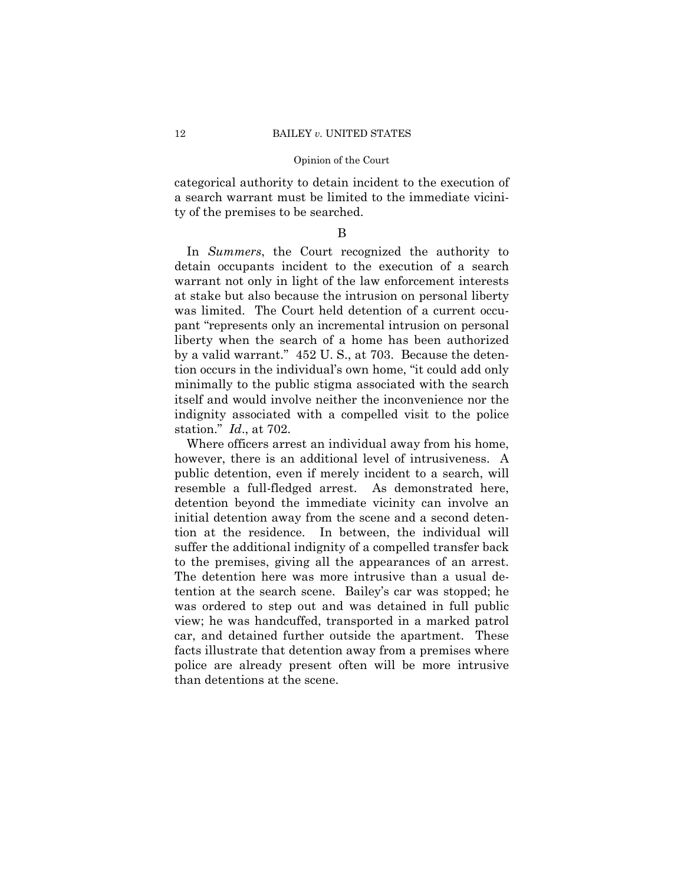categorical authority to detain incident to the execution of a search warrant must be limited to the immediate vicinity of the premises to be searched.

#### B

In *Summers*, the Court recognized the authority to detain occupants incident to the execution of a search warrant not only in light of the law enforcement interests at stake but also because the intrusion on personal liberty was limited. The Court held detention of a current occupant "represents only an incremental intrusion on personal liberty when the search of a home has been authorized by a valid warrant." 452 U. S., at 703. Because the detention occurs in the individual's own home, "it could add only minimally to the public stigma associated with the search itself and would involve neither the inconvenience nor the indignity associated with a compelled visit to the police station." *Id*., at 702.

Where officers arrest an individual away from his home, however, there is an additional level of intrusiveness. A public detention, even if merely incident to a search, will resemble a full-fledged arrest. As demonstrated here, detention beyond the immediate vicinity can involve an initial detention away from the scene and a second detention at the residence. In between, the individual will suffer the additional indignity of a compelled transfer back to the premises, giving all the appearances of an arrest. The detention here was more intrusive than a usual detention at the search scene. Bailey's car was stopped; he was ordered to step out and was detained in full public view; he was handcuffed, transported in a marked patrol car, and detained further outside the apartment. These facts illustrate that detention away from a premises where police are already present often will be more intrusive than detentions at the scene.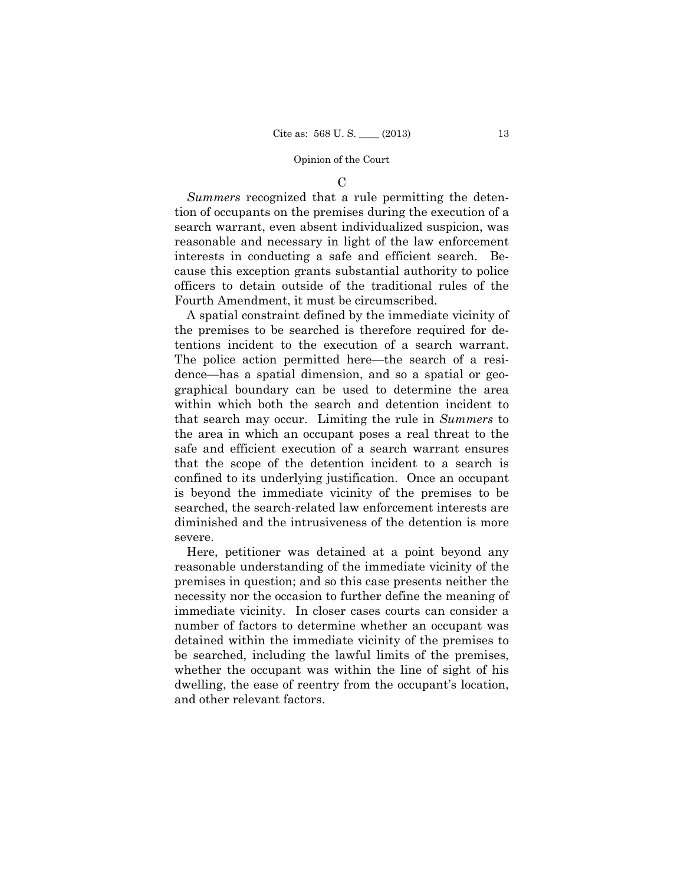$\mathcal{C}$ 

*Summers* recognized that a rule permitting the detention of occupants on the premises during the execution of a search warrant, even absent individualized suspicion, was reasonable and necessary in light of the law enforcement interests in conducting a safe and efficient search. Because this exception grants substantial authority to police officers to detain outside of the traditional rules of the Fourth Amendment, it must be circumscribed.

A spatial constraint defined by the immediate vicinity of the premises to be searched is therefore required for detentions incident to the execution of a search warrant. The police action permitted here—the search of a residence—has a spatial dimension, and so a spatial or geographical boundary can be used to determine the area within which both the search and detention incident to that search may occur. Limiting the rule in *Summers* to the area in which an occupant poses a real threat to the safe and efficient execution of a search warrant ensures that the scope of the detention incident to a search is confined to its underlying justification. Once an occupant is beyond the immediate vicinity of the premises to be searched, the search-related law enforcement interests are diminished and the intrusiveness of the detention is more severe.

Here, petitioner was detained at a point beyond any reasonable understanding of the immediate vicinity of the premises in question; and so this case presents neither the necessity nor the occasion to further define the meaning of immediate vicinity. In closer cases courts can consider a number of factors to determine whether an occupant was detained within the immediate vicinity of the premises to be searched, including the lawful limits of the premises, whether the occupant was within the line of sight of his dwelling, the ease of reentry from the occupant's location, and other relevant factors.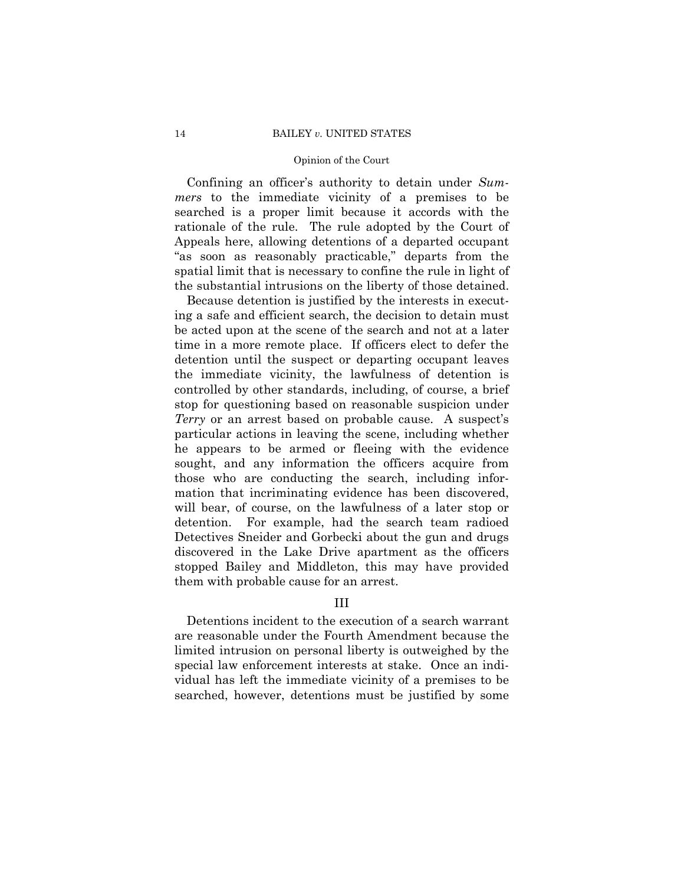Confining an officer's authority to detain under *Summers* to the immediate vicinity of a premises to be searched is a proper limit because it accords with the rationale of the rule. The rule adopted by the Court of Appeals here, allowing detentions of a departed occupant "as soon as reasonably practicable," departs from the spatial limit that is necessary to confine the rule in light of the substantial intrusions on the liberty of those detained.

Because detention is justified by the interests in executing a safe and efficient search, the decision to detain must be acted upon at the scene of the search and not at a later time in a more remote place. If officers elect to defer the detention until the suspect or departing occupant leaves the immediate vicinity, the lawfulness of detention is controlled by other standards, including, of course, a brief stop for questioning based on reasonable suspicion under *Terry* or an arrest based on probable cause. A suspect's particular actions in leaving the scene, including whether he appears to be armed or fleeing with the evidence sought, and any information the officers acquire from those who are conducting the search, including information that incriminating evidence has been discovered, will bear, of course, on the lawfulness of a later stop or detention. For example, had the search team radioed Detectives Sneider and Gorbecki about the gun and drugs discovered in the Lake Drive apartment as the officers stopped Bailey and Middleton, this may have provided them with probable cause for an arrest.

### III

Detentions incident to the execution of a search warrant are reasonable under the Fourth Amendment because the limited intrusion on personal liberty is outweighed by the special law enforcement interests at stake. Once an individual has left the immediate vicinity of a premises to be searched, however, detentions must be justified by some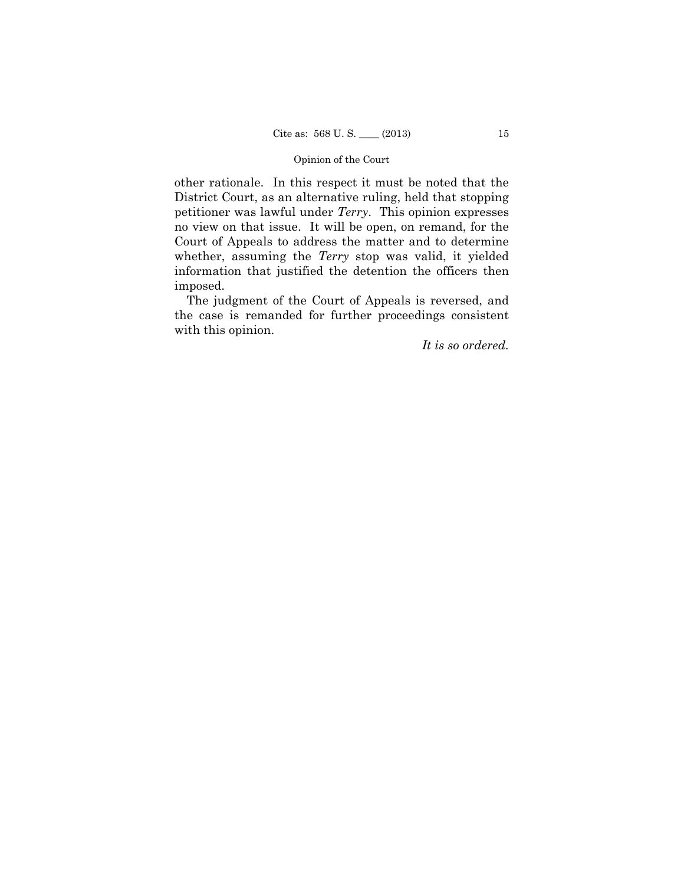other rationale. In this respect it must be noted that the District Court, as an alternative ruling, held that stopping petitioner was lawful under *Terry*. This opinion expresses no view on that issue. It will be open, on remand, for the Court of Appeals to address the matter and to determine whether, assuming the *Terry* stop was valid, it yielded information that justified the detention the officers then imposed.

The judgment of the Court of Appeals is reversed, and the case is remanded for further proceedings consistent with this opinion.

*It is so ordered.*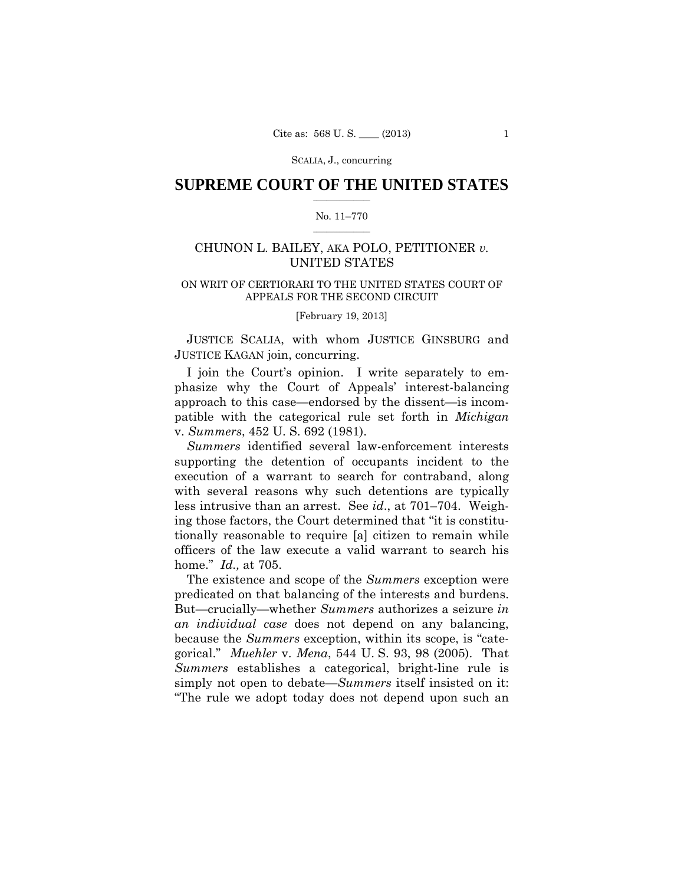#### $\frac{1}{2}$  , where  $\frac{1}{2}$ **SUPREME COURT OF THE UNITED STATES**

#### $\frac{1}{2}$  ,  $\frac{1}{2}$  ,  $\frac{1}{2}$  ,  $\frac{1}{2}$  ,  $\frac{1}{2}$  ,  $\frac{1}{2}$ No. 11–770

# CHUNON L. BAILEY, AKA POLO, PETITIONER *v.* UNITED STATES

#### ON WRIT OF CERTIORARI TO THE UNITED STATES COURT OF APPEALS FOR THE SECOND CIRCUIT

[February 19, 2013]

 JUSTICE SCALIA, with whom JUSTICE GINSBURG and JUSTICE KAGAN join, concurring.

I join the Court's opinion. I write separately to emphasize why the Court of Appeals' interest-balancing approach to this case—endorsed by the dissent—is incompatible with the categorical rule set forth in *Michigan*  v. *Summers*, 452 U. S. 692 (1981).

 less intrusive than an arrest. See *id*., at 701–704. Weigh-*Summers* identified several law-enforcement interests supporting the detention of occupants incident to the execution of a warrant to search for contraband, along with several reasons why such detentions are typically ing those factors, the Court determined that "it is constitutionally reasonable to require [a] citizen to remain while officers of the law execute a valid warrant to search his home." *Id.,* at 705.

 predicated on that balancing of the interests and burdens. The existence and scope of the *Summers* exception were But—crucially—whether *Summers* authorizes a seizure *in an individual case* does not depend on any balancing, because the *Summers* exception, within its scope, is "categorical." *Muehler* v. *Mena*, 544 U. S. 93, 98 (2005). That *Summers* establishes a categorical, bright-line rule is simply not open to debate—*Summers* itself insisted on it: "The rule we adopt today does not depend upon such an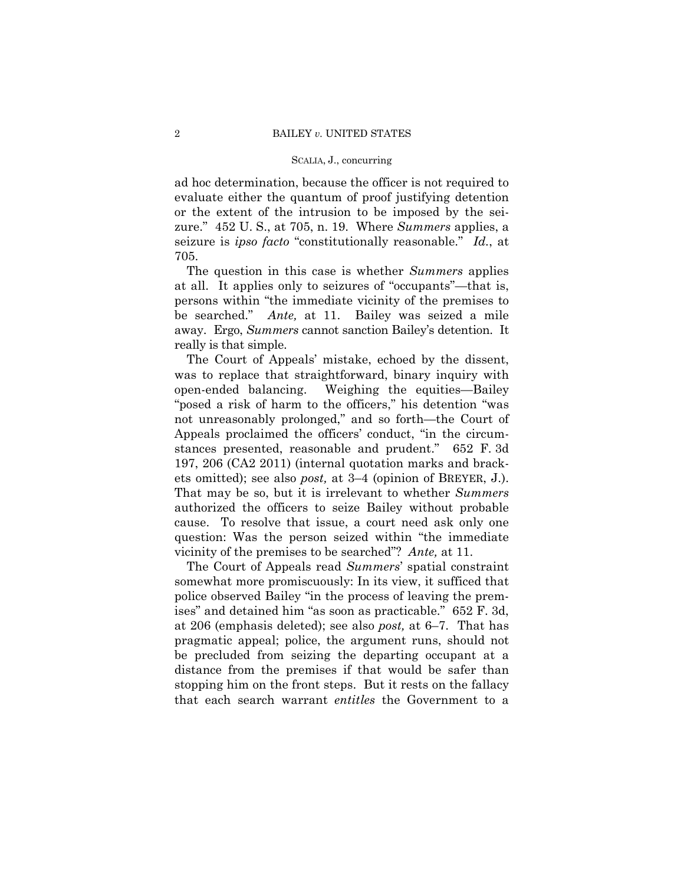ad hoc determination, because the officer is not required to evaluate either the quantum of proof justifying detention or the extent of the intrusion to be imposed by the seizure." 452 U. S., at 705, n. 19. Where *Summers* applies, a seizure is *ipso facto* "constitutionally reasonable." *Id.*, at 705.

The question in this case is whether *Summers* applies at all. It applies only to seizures of "occupants"—that is, persons within "the immediate vicinity of the premises to be searched." *Ante,* at 11. Bailey was seized a mile away. Ergo, *Summers* cannot sanction Bailey's detention. It really is that simple.

The Court of Appeals' mistake, echoed by the dissent, was to replace that straightforward, binary inquiry with open-ended balancing. Weighing the equities—Bailey "posed a risk of harm to the officers," his detention "was not unreasonably prolonged," and so forth—the Court of Appeals proclaimed the officers' conduct, "in the circumstances presented, reasonable and prudent." 652 F. 3d 197, 206 (CA2 2011) (internal quotation marks and brackets omitted); see also *post,* at 3–4 (opinion of BREYER, J.). That may be so, but it is irrelevant to whether *Summers*  authorized the officers to seize Bailey without probable cause. To resolve that issue, a court need ask only one question: Was the person seized within "the immediate vicinity of the premises to be searched"? *Ante,* at 11.

 at 206 (emphasis deleted); see also *post,* at 6–7. That has The Court of Appeals read *Summers*' spatial constraint somewhat more promiscuously: In its view, it sufficed that police observed Bailey "in the process of leaving the premises" and detained him "as soon as practicable." 652 F. 3d, pragmatic appeal; police, the argument runs, should not be precluded from seizing the departing occupant at a distance from the premises if that would be safer than stopping him on the front steps. But it rests on the fallacy that each search warrant *entitles* the Government to a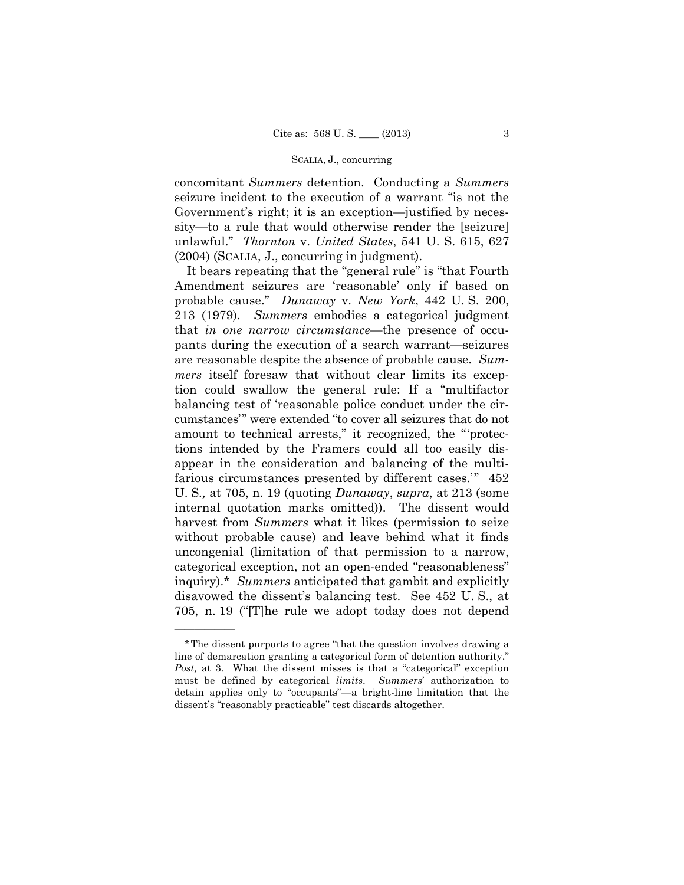concomitant *Summers* detention. Conducting a *Summers*  seizure incident to the execution of a warrant "is not the Government's right; it is an exception—justified by necessity—to a rule that would otherwise render the [seizure] unlawful." *Thornton* v. *United States*, 541 U. S. 615, 627 (2004) (SCALIA, J., concurring in judgment).

 are reasonable despite the absence of probable cause. *Sum-*It bears repeating that the "general rule" is "that Fourth Amendment seizures are 'reasonable' only if based on probable cause." *Dunaway* v. *New York*, 442 U. S. 200, 213 (1979). *Summers* embodies a categorical judgment that *in one narrow circumstance*—the presence of occupants during the execution of a search warrant—seizures *mers* itself foresaw that without clear limits its exception could swallow the general rule: If a "multifactor balancing test of 'reasonable police conduct under the circumstances'" were extended "to cover all seizures that do not amount to technical arrests," it recognized, the "'protections intended by the Framers could all too easily disappear in the consideration and balancing of the multifarious circumstances presented by different cases.'" 452 U. S*.,* at 705, n. 19 (quoting *Dunaway*, *supra*, at 213 (some internal quotation marks omitted)). The dissent would harvest from *Summers* what it likes (permission to seize without probable cause) and leave behind what it finds uncongenial (limitation of that permission to a narrow, categorical exception, not an open-ended "reasonableness" inquiry).\* *Summers* anticipated that gambit and explicitly disavowed the dissent's balancing test. See 452 U. S., at 705, n. 19 ("[T]he rule we adopt today does not depend

——————

<sup>\*</sup>The dissent purports to agree "that the question involves drawing a line of demarcation granting a categorical form of detention authority." *Post,* at 3. What the dissent misses is that a "categorical" exception must be defined by categorical *limits*. *Summers*' authorization to detain applies only to "occupants"—a bright-line limitation that the dissent's "reasonably practicable" test discards altogether.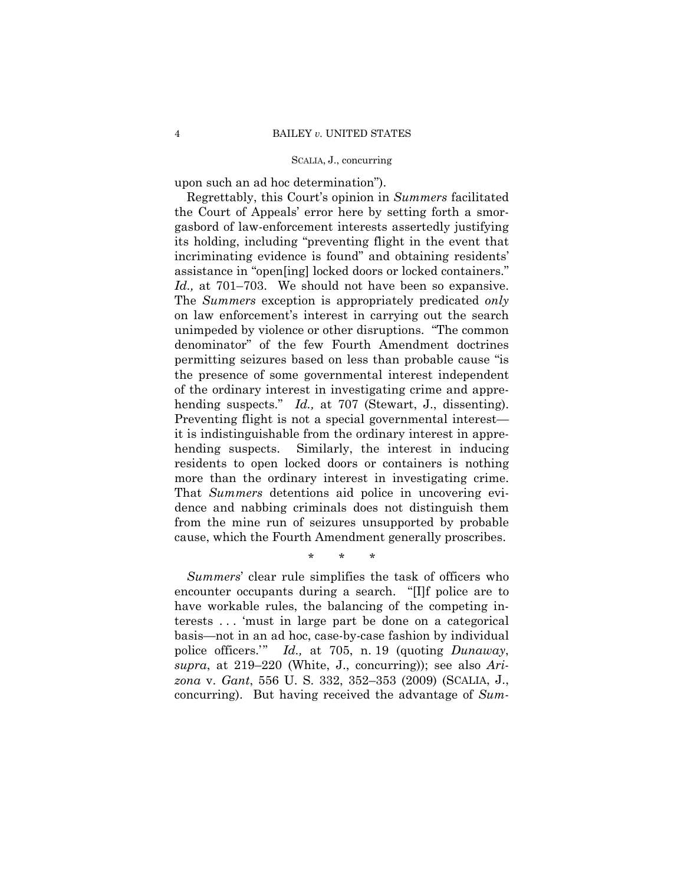upon such an ad hoc determination").

 *Id.,* at 701–703. We should not have been so expansive. hending suspects." *Id.,* at 707 (Stewart, J., dissenting). more than the ordinary interest in investigating crime. Regrettably, this Court's opinion in *Summers* facilitated the Court of Appeals' error here by setting forth a smorgasbord of law-enforcement interests assertedly justifying its holding, including "preventing flight in the event that incriminating evidence is found" and obtaining residents' assistance in "open[ing] locked doors or locked containers." The *Summers* exception is appropriately predicated *only* on law enforcement's interest in carrying out the search unimpeded by violence or other disruptions. "The common denominator" of the few Fourth Amendment doctrines permitting seizures based on less than probable cause "is the presence of some governmental interest independent of the ordinary interest in investigating crime and appre-Preventing flight is not a special governmental interest it is indistinguishable from the ordinary interest in apprehending suspects. Similarly, the interest in inducing residents to open locked doors or containers is nothing That *Summers* detentions aid police in uncovering evidence and nabbing criminals does not distinguish them from the mine run of seizures unsupported by probable cause, which the Fourth Amendment generally proscribes.

*Summers*' clear rule simplifies the task of officers who encounter occupants during a search. "[I]f police are to have workable rules, the balancing of the competing interests . . . 'must in large part be done on a categorical basis—not in an ad hoc, case-by-case fashion by individual police officers.'" *Id.,* at 705, n. 19 (quoting *Dunaway*, *supra*, at 219–220 (White, J., concurring)); see also *Arizona* v. *Gant*, 556 U. S. 332, 352–353 (2009) (SCALIA, J., concurring). But having received the advantage of *Sum-*

\* \* \*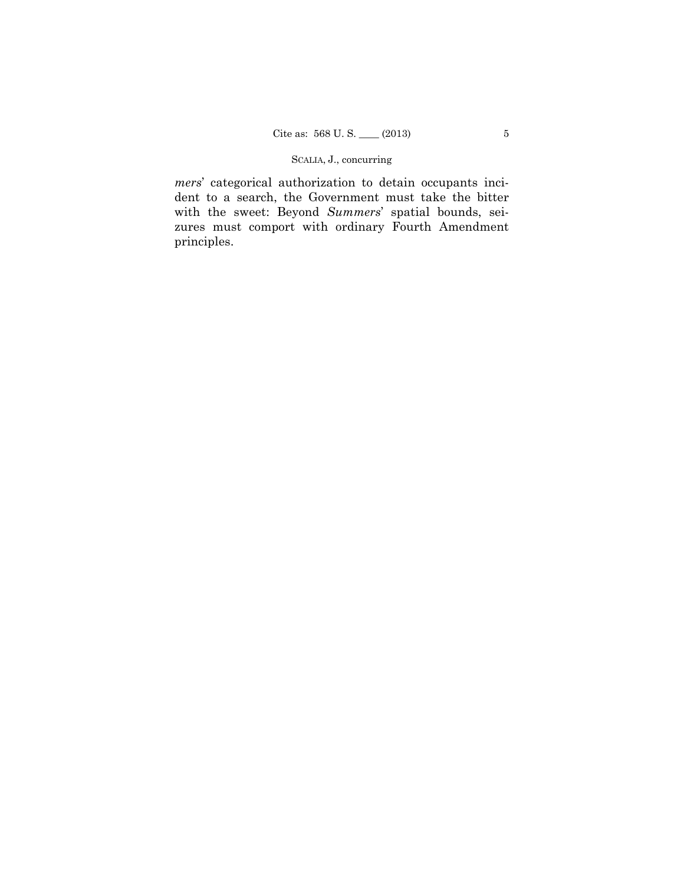*mers*' categorical authorization to detain occupants incident to a search, the Government must take the bitter with the sweet: Beyond *Summers*' spatial bounds, seizures must comport with ordinary Fourth Amendment principles.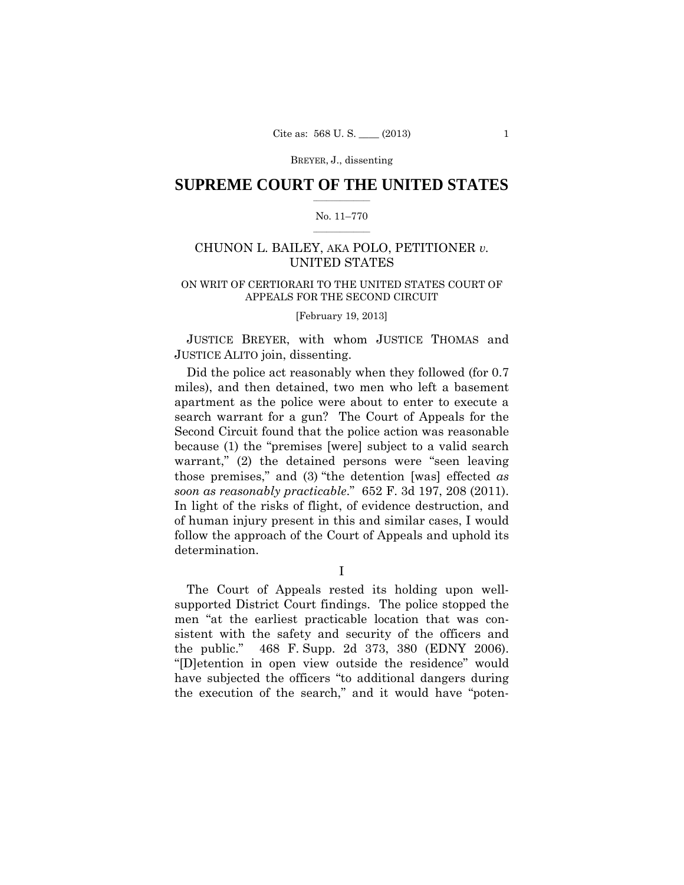#### $\frac{1}{2}$  , where  $\frac{1}{2}$ **SUPREME COURT OF THE UNITED STATES**

#### $\frac{1}{2}$  ,  $\frac{1}{2}$  ,  $\frac{1}{2}$  ,  $\frac{1}{2}$  ,  $\frac{1}{2}$  ,  $\frac{1}{2}$ No. 11–770

## **UNITED STATES** CHUNON L. BAILEY, AKA POLO, PETITIONER *v.*

# APPEALS FOR THE SECOND CIRCUIT UNITED STATES<br>ON WRIT OF CERTIORARI TO THE UNITED STATES COURT OF<br>APPEALS FOR THE SECOND CIRCUIT<br>[February 19, 2013]

 JUSTICE BREYER, with whom JUSTICE THOMAS and JUSTICE ALITO join, dissenting.

Did the police act reasonably when they followed (for 0.7 miles), and then detained, two men who left a basement apartment as the police were about to enter to execute a search warrant for a gun? The Court of Appeals for the Second Circuit found that the police action was reasonable because (1) the "premises [were] subject to a valid search warrant," (2) the detained persons were "seen leaving those premises," and (3) "the detention [was] effected *as soon as reasonably practicable*." 652 F. 3d 197, 208 (2011). In light of the risks of flight, of evidence destruction, and of human injury present in this and similar cases, I would follow the approach of the Court of Appeals and uphold its determination.

I

The Court of Appeals rested its holding upon wellsupported District Court findings. The police stopped the men "at the earliest practicable location that was consistent with the safety and security of the officers and the public." 468 F. Supp. 2d 373, 380 (EDNY 2006). "[D]etention in open view outside the residence" would have subjected the officers "to additional dangers during the execution of the search," and it would have "poten-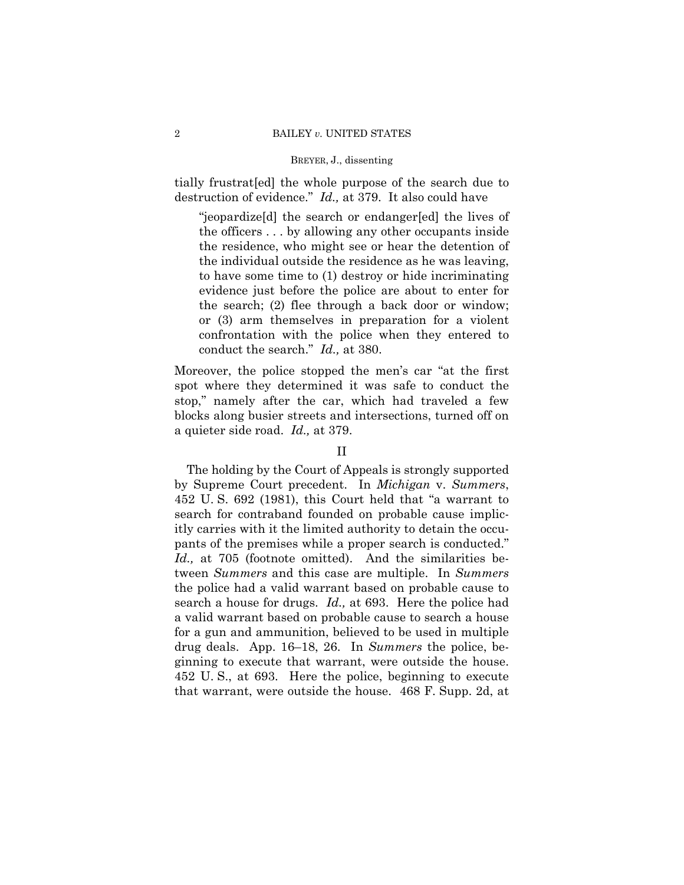destruction of evidence." *Id.,* at 379. It also could have tially frustrat[ed] the whole purpose of the search due to

"jeopardize[d] the search or endanger[ed] the lives of the officers . . . by allowing any other occupants inside the residence, who might see or hear the detention of the individual outside the residence as he was leaving, to have some time to (1) destroy or hide incriminating evidence just before the police are about to enter for the search; (2) flee through a back door or window; or (3) arm themselves in preparation for a violent confrontation with the police when they entered to conduct the search." *Id.,* at 380.

Moreover, the police stopped the men's car "at the first spot where they determined it was safe to conduct the stop," namely after the car, which had traveled a few blocks along busier streets and intersections, turned off on a quieter side road. *Id.,* at 379.

### II

The holding by the Court of Appeals is strongly supported by Supreme Court precedent. In *Michigan* v. *Summers*, 452 U. S. 692 (1981), this Court held that "a warrant to search for contraband founded on probable cause implicitly carries with it the limited authority to detain the occupants of the premises while a proper search is conducted." Id., at 705 (footnote omitted). And the similarities between *Summers* and this case are multiple. In *Summers*  the police had a valid warrant based on probable cause to search a house for drugs. *Id.,* at 693. Here the police had a valid warrant based on probable cause to search a house for a gun and ammunition, believed to be used in multiple drug deals. App. 16–18, 26. In *Summers* the police, beginning to execute that warrant, were outside the house. 452 U. S., at 693. Here the police, beginning to execute that warrant, were outside the house. 468 F. Supp. 2d, at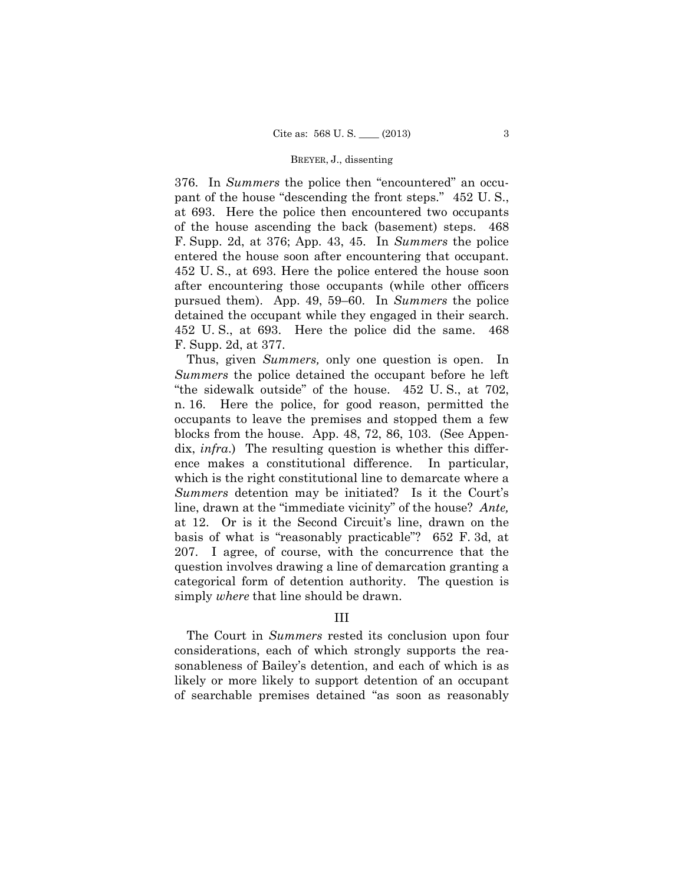376. In *Summers* the police then "encountered" an occupant of the house "descending the front steps." 452 U. S., at 693. Here the police then encountered two occupants of the house ascending the back (basement) steps. 468 F. Supp. 2d, at 376; App. 43, 45. In *Summers* the police entered the house soon after encountering that occupant. 452 U. S., at 693. Here the police entered the house soon after encountering those occupants (while other officers pursued them). App. 49, 59–60. In *Summers* the police detained the occupant while they engaged in their search. 452 U. S., at 693. Here the police did the same. 468 F. Supp. 2d, at 377.

 Thus, given *Summers,* only one question is open. In *Summers* the police detained the occupant before he left "the sidewalk outside" of the house. 452 U. S., at 702, n. 16. Here the police, for good reason, permitted the occupants to leave the premises and stopped them a few blocks from the house. App. 48, 72, 86, 103. (See Appendix, *infra*.) The resulting question is whether this difference makes a constitutional difference. In particular, which is the right constitutional line to demarcate where a *Summers* detention may be initiated? Is it the Court's line, drawn at the "immediate vicinity" of the house? *Ante,*  at 12. Or is it the Second Circuit's line, drawn on the basis of what is "reasonably practicable"? 652 F. 3d, at 207. I agree, of course, with the concurrence that the question involves drawing a line of demarcation granting a categorical form of detention authority. The question is simply *where* that line should be drawn.

#### III

The Court in *Summers* rested its conclusion upon four considerations, each of which strongly supports the reasonableness of Bailey's detention, and each of which is as likely or more likely to support detention of an occupant of searchable premises detained "as soon as reasonably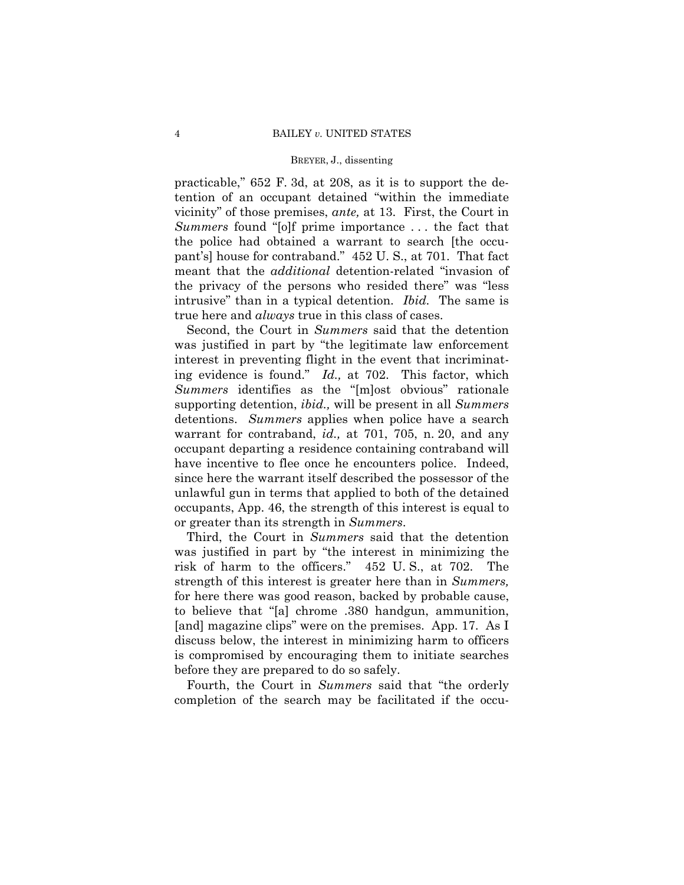intrusive" than in a typical detention. *Ibid.* The same is practicable," 652 F. 3d, at 208, as it is to support the detention of an occupant detained "within the immediate vicinity" of those premises, *ante,* at 13. First, the Court in *Summers* found "[o]f prime importance . . . the fact that the police had obtained a warrant to search [the occupant's] house for contraband." 452 U. S., at 701. That fact meant that the *additional* detention-related "invasion of the privacy of the persons who resided there" was "less true here and *always* true in this class of cases.

Second, the Court in *Summers* said that the detention was justified in part by "the legitimate law enforcement interest in preventing flight in the event that incriminating evidence is found." *Id.,* at 702. This factor, which *Summers* identifies as the "[m]ost obvious" rationale supporting detention, *ibid.,* will be present in all *Summers*  detentions. *Summers* applies when police have a search warrant for contraband, *id.,* at 701, 705, n. 20, and any occupant departing a residence containing contraband will have incentive to flee once he encounters police. Indeed, since here the warrant itself described the possessor of the unlawful gun in terms that applied to both of the detained occupants, App. 46, the strength of this interest is equal to or greater than its strength in *Summers*.

Third, the Court in *Summers* said that the detention was justified in part by "the interest in minimizing the risk of harm to the officers." 452 U. S., at 702. The strength of this interest is greater here than in *Summers,*  for here there was good reason, backed by probable cause, to believe that "[a] chrome .380 handgun, ammunition, [and] magazine clips" were on the premises. App. 17. As I discuss below, the interest in minimizing harm to officers is compromised by encouraging them to initiate searches before they are prepared to do so safely.

Fourth, the Court in *Summers* said that "the orderly completion of the search may be facilitated if the occu-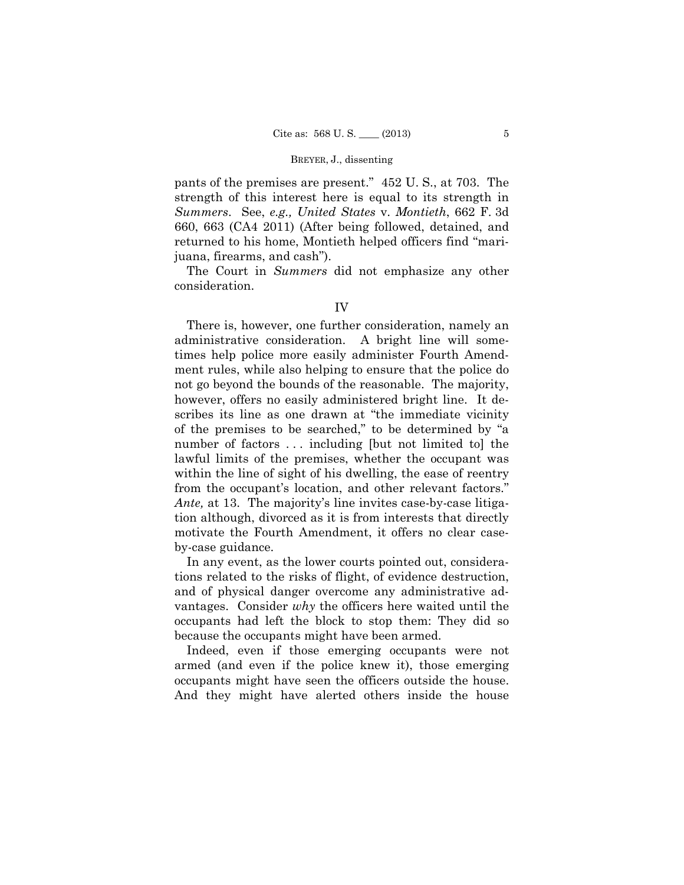pants of the premises are present." 452 U. S., at 703. The strength of this interest here is equal to its strength in *Summers*. See, *e.g., United States* v. *Montieth*, 662 F. 3d 660, 663 (CA4 2011) (After being followed, detained, and returned to his home, Montieth helped officers find "marijuana, firearms, and cash").

 The Court in *Summers* did not emphasize any other consideration.

There is, however, one further consideration, namely an administrative consideration. A bright line will sometimes help police more easily administer Fourth Amendment rules, while also helping to ensure that the police do not go beyond the bounds of the reasonable. The majority, however, offers no easily administered bright line. It describes its line as one drawn at "the immediate vicinity of the premises to be searched," to be determined by "a number of factors ... including [but not limited to] the lawful limits of the premises, whether the occupant was within the line of sight of his dwelling, the ease of reentry from the occupant's location, and other relevant factors." *Ante,* at 13. The majority's line invites case-by-case litigation although, divorced as it is from interests that directly motivate the Fourth Amendment, it offers no clear caseby-case guidance.

In any event, as the lower courts pointed out, considerations related to the risks of flight, of evidence destruction, and of physical danger overcome any administrative advantages. Consider *why* the officers here waited until the occupants had left the block to stop them: They did so because the occupants might have been armed.

 occupants might have seen the officers outside the house. Indeed, even if those emerging occupants were not armed (and even if the police knew it), those emerging And they might have alerted others inside the house

IV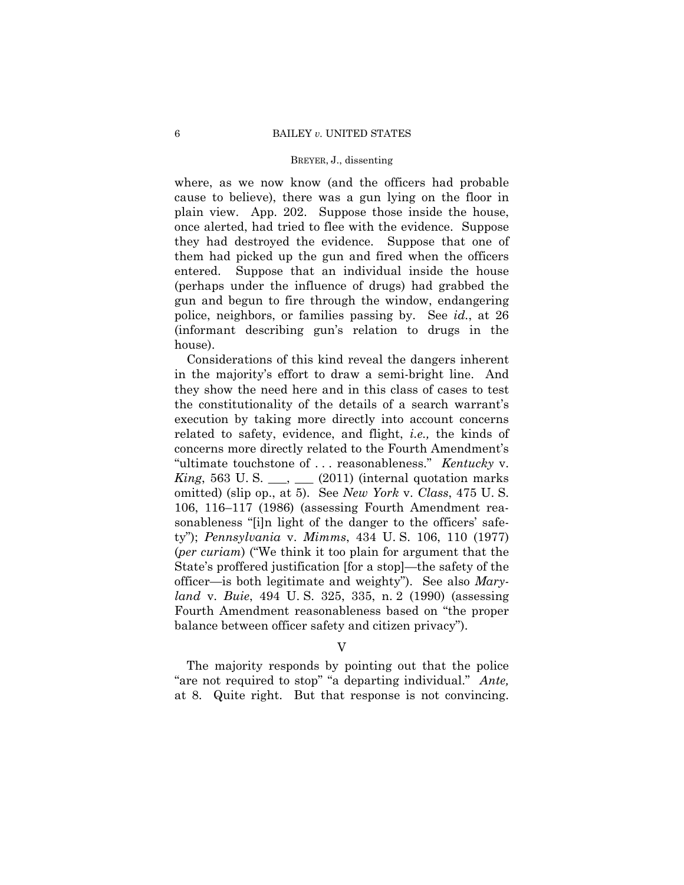where, as we now know (and the officers had probable cause to believe), there was a gun lying on the floor in plain view. App. 202. Suppose those inside the house, once alerted, had tried to flee with the evidence. Suppose they had destroyed the evidence. Suppose that one of them had picked up the gun and fired when the officers entered. Suppose that an individual inside the house (perhaps under the influence of drugs) had grabbed the gun and begun to fire through the window, endangering police, neighbors, or families passing by. See *id.*, at 26 (informant describing gun's relation to drugs in the house).

 "ultimate touchstone of . . . reasonableness." *Kentucky* v. Considerations of this kind reveal the dangers inherent in the majority's effort to draw a semi-bright line. And they show the need here and in this class of cases to test the constitutionality of the details of a search warrant's execution by taking more directly into account concerns related to safety, evidence, and flight, *i.e.,* the kinds of concerns more directly related to the Fourth Amendment's *King*, 563 U.S. \_\_\_, \_\_\_ (2011) (internal quotation marks omitted) (slip op., at 5). See *New York* v. *Class*, 475 U. S. 106, 116–117 (1986) (assessing Fourth Amendment reasonableness "[i]n light of the danger to the officers' safety"); *Pennsylvania* v. *Mimms*, 434 U. S. 106, 110 (1977) (*per curiam*) ("We think it too plain for argument that the State's proffered justification [for a stop]—the safety of the officer—is both legitimate and weighty"). See also *Maryland* v. *Buie*, 494 U. S. 325, 335, n. 2 (1990) (assessing Fourth Amendment reasonableness based on "the proper balance between officer safety and citizen privacy").

The majority responds by pointing out that the police "are not required to stop" "a departing individual." *Ante,*  at 8. Quite right. But that response is not convincing.

V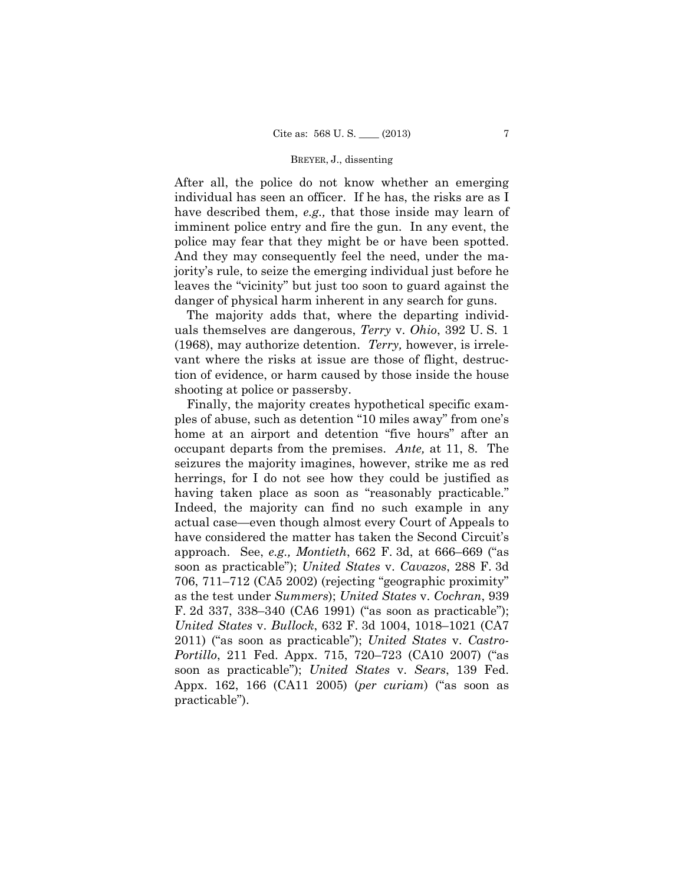After all, the police do not know whether an emerging individual has seen an officer. If he has, the risks are as I have described them, *e.g.,* that those inside may learn of imminent police entry and fire the gun. In any event, the police may fear that they might be or have been spotted. And they may consequently feel the need, under the majority's rule, to seize the emerging individual just before he leaves the "vicinity" but just too soon to guard against the danger of physical harm inherent in any search for guns.

The majority adds that, where the departing individuals themselves are dangerous, *Terry* v. *Ohio*, 392 U. S. 1 (1968), may authorize detention. *Terry,* however, is irrelevant where the risks at issue are those of flight, destruction of evidence, or harm caused by those inside the house shooting at police or passersby.

 occupant departs from the premises. *Ante,* at 11, 8. The Finally, the majority creates hypothetical specific examples of abuse, such as detention "10 miles away" from one's home at an airport and detention "five hours" after an seizures the majority imagines, however, strike me as red herrings, for I do not see how they could be justified as having taken place as soon as "reasonably practicable." Indeed, the majority can find no such example in any actual case—even though almost every Court of Appeals to have considered the matter has taken the Second Circuit's approach. See, *e.g., Montieth*, 662 F. 3d, at 666–669 ("as soon as practicable"); *United States* v. *Cavazos*, 288 F. 3d 706, 711–712 (CA5 2002) (rejecting "geographic proximity" as the test under *Summers*); *United States* v. *Cochran*, 939 F. 2d 337, 338–340 (CA6 1991) ("as soon as practicable"); *United States* v. *Bullock*, 632 F. 3d 1004, 1018–1021 (CA7 2011) ("as soon as practicable"); *United States* v. *Castro-Portillo*, 211 Fed. Appx. 715, 720–723 (CA10 2007) ("as soon as practicable"); *United States* v. *Sears*, 139 Fed. Appx. 162, 166 (CA11 2005) (*per curiam*) ("as soon as practicable").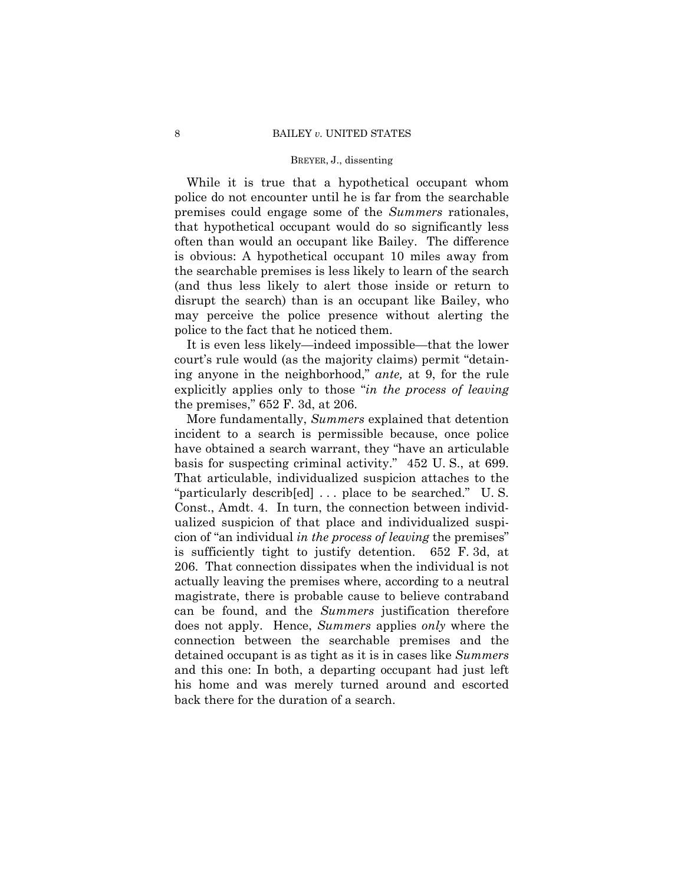While it is true that a hypothetical occupant whom police do not encounter until he is far from the searchable premises could engage some of the *Summers* rationales, that hypothetical occupant would do so significantly less often than would an occupant like Bailey. The difference is obvious: A hypothetical occupant 10 miles away from the searchable premises is less likely to learn of the search (and thus less likely to alert those inside or return to disrupt the search) than is an occupant like Bailey, who may perceive the police presence without alerting the police to the fact that he noticed them.

It is even less likely—indeed impossible—that the lower court's rule would (as the majority claims) permit "detaining anyone in the neighborhood," *ante,* at 9, for the rule explicitly applies only to those "*in the process of leaving*  the premises," 652 F. 3d, at 206.

 More fundamentally, *Summers* explained that detention incident to a search is permissible because, once police have obtained a search warrant, they "have an articulable basis for suspecting criminal activity." 452 U. S., at 699. That articulable, individualized suspicion attaches to the "particularly describ[ed] . . . place to be searched." U. S. Const., Amdt. 4. In turn, the connection between individualized suspicion of that place and individualized suspicion of "an individual *in the process of leaving* the premises" is sufficiently tight to justify detention. 652 F. 3d, at 206. That connection dissipates when the individual is not actually leaving the premises where, according to a neutral magistrate, there is probable cause to believe contraband can be found, and the *Summers* justification therefore does not apply. Hence, *Summers* applies *only* where the connection between the searchable premises and the detained occupant is as tight as it is in cases like *Summers*  and this one: In both, a departing occupant had just left his home and was merely turned around and escorted back there for the duration of a search.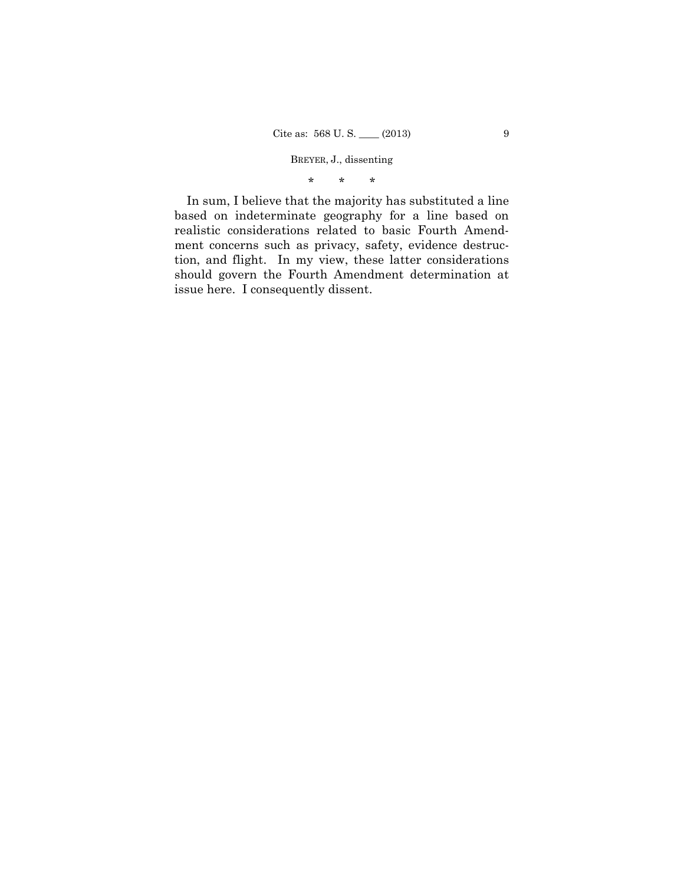\* \* \*

In sum, I believe that the majority has substituted a line based on indeterminate geography for a line based on realistic considerations related to basic Fourth Amendment concerns such as privacy, safety, evidence destruction, and flight. In my view, these latter considerations should govern the Fourth Amendment determination at issue here. I consequently dissent.